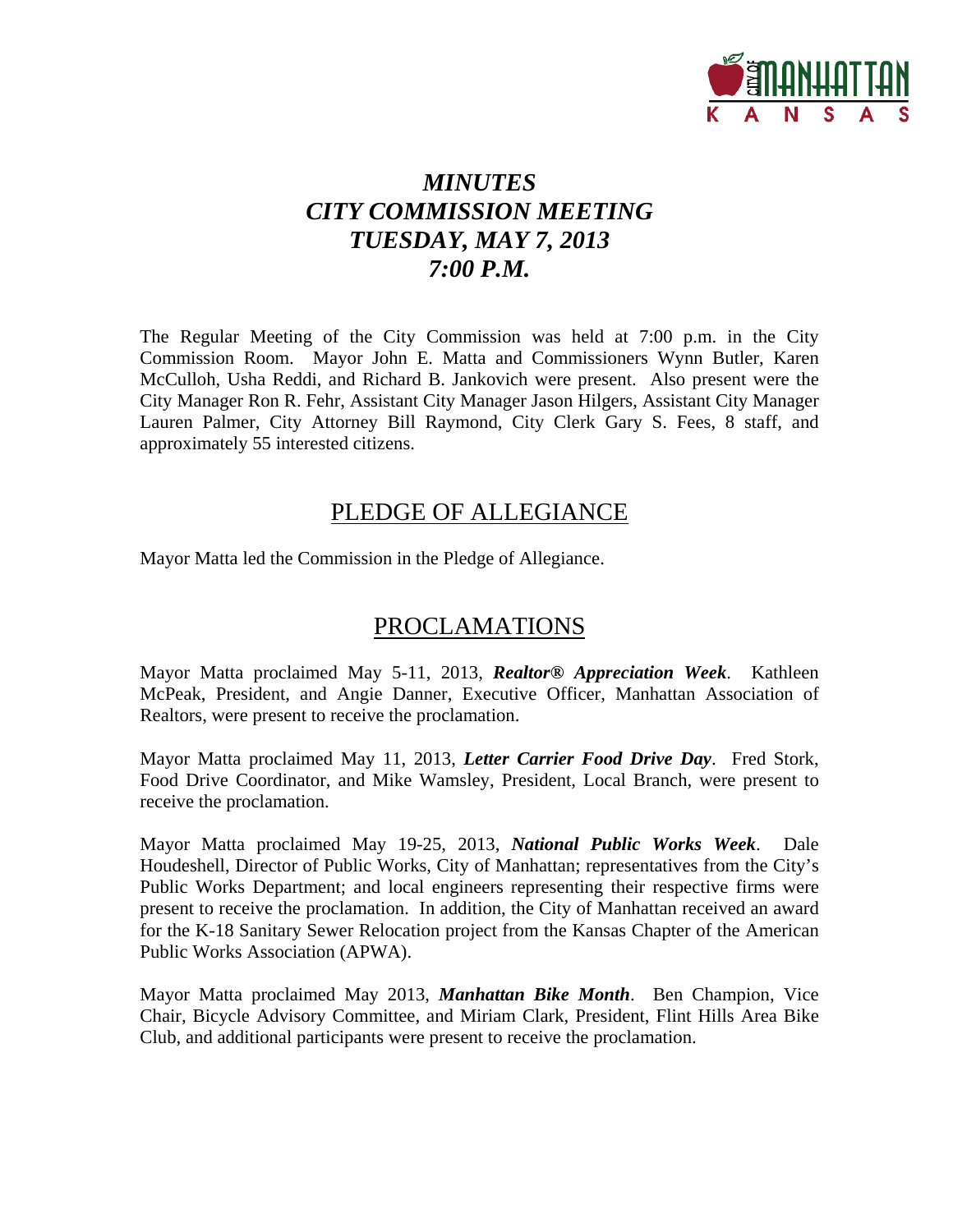

# *MINUTES CITY COMMISSION MEETING TUESDAY, MAY 7, 2013 7:00 P.M.*

The Regular Meeting of the City Commission was held at 7:00 p.m. in the City Commission Room. Mayor John E. Matta and Commissioners Wynn Butler, Karen McCulloh, Usha Reddi, and Richard B. Jankovich were present. Also present were the City Manager Ron R. Fehr, Assistant City Manager Jason Hilgers, Assistant City Manager Lauren Palmer, City Attorney Bill Raymond, City Clerk Gary S. Fees, 8 staff, and approximately 55 interested citizens.

# PLEDGE OF ALLEGIANCE

Mayor Matta led the Commission in the Pledge of Allegiance.

# PROCLAMATIONS

Mayor Matta proclaimed May 5-11, 2013, *Realtor® Appreciation Week*. Kathleen McPeak, President, and Angie Danner, Executive Officer, Manhattan Association of Realtors, were present to receive the proclamation.

Mayor Matta proclaimed May 11, 2013, *Letter Carrier Food Drive Day*. Fred Stork, Food Drive Coordinator, and Mike Wamsley, President, Local Branch, were present to receive the proclamation.

Mayor Matta proclaimed May 19-25, 2013, *National Public Works Week*. Dale Houdeshell, Director of Public Works, City of Manhattan; representatives from the City's Public Works Department; and local engineers representing their respective firms were present to receive the proclamation. In addition, the City of Manhattan received an award for the K-18 Sanitary Sewer Relocation project from the Kansas Chapter of the American Public Works Association (APWA).

Mayor Matta proclaimed May 2013, *Manhattan Bike Month*. Ben Champion, Vice Chair, Bicycle Advisory Committee, and Miriam Clark, President, Flint Hills Area Bike Club, and additional participants were present to receive the proclamation.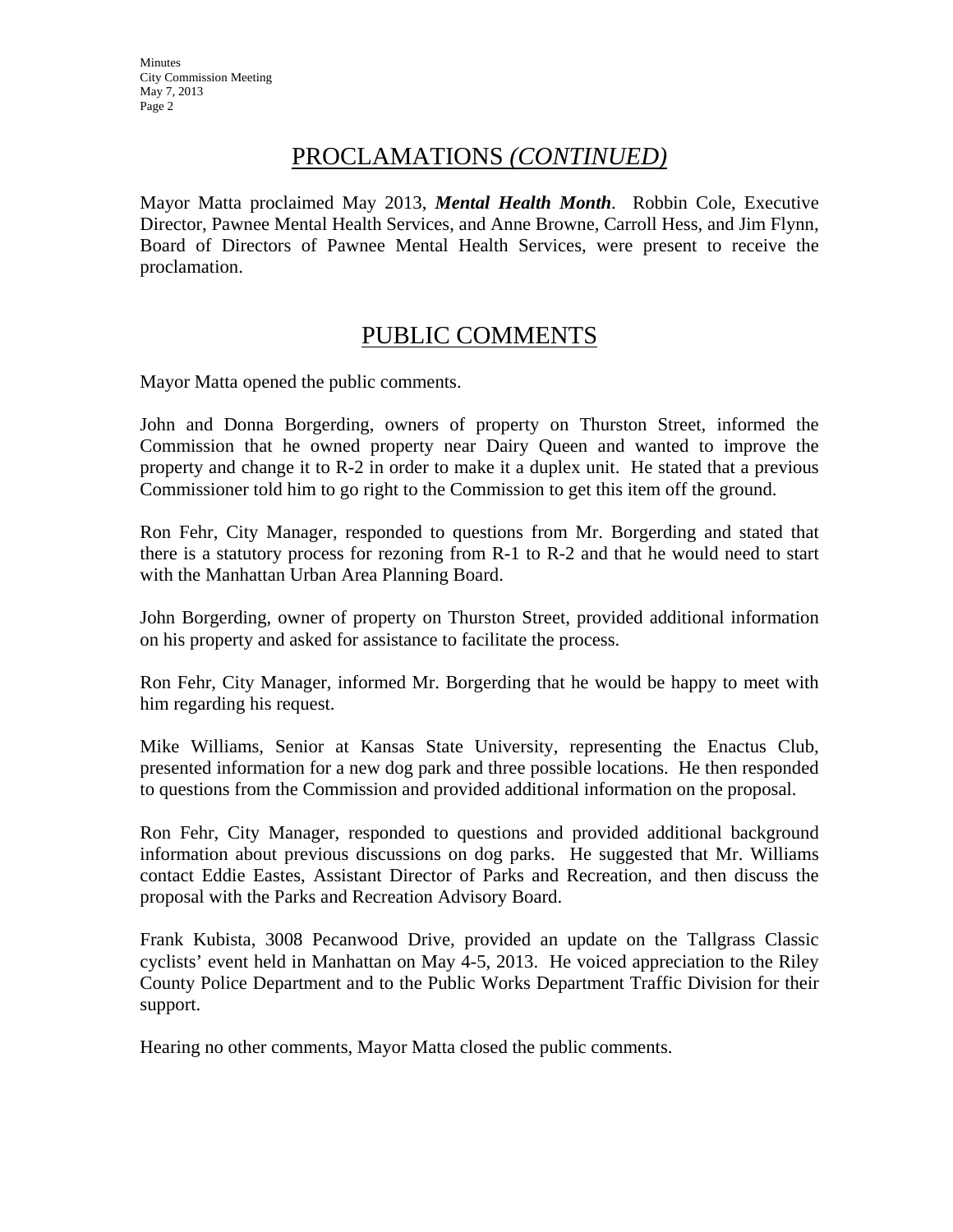# PROCLAMATIONS *(CONTINUED)*

Mayor Matta proclaimed May 2013, *Mental Health Month*. Robbin Cole, Executive Director, Pawnee Mental Health Services, and Anne Browne, Carroll Hess, and Jim Flynn, Board of Directors of Pawnee Mental Health Services, were present to receive the proclamation.

# PUBLIC COMMENTS

Mayor Matta opened the public comments.

John and Donna Borgerding, owners of property on Thurston Street, informed the Commission that he owned property near Dairy Queen and wanted to improve the property and change it to R-2 in order to make it a duplex unit. He stated that a previous Commissioner told him to go right to the Commission to get this item off the ground.

Ron Fehr, City Manager, responded to questions from Mr. Borgerding and stated that there is a statutory process for rezoning from R-1 to R-2 and that he would need to start with the Manhattan Urban Area Planning Board.

John Borgerding, owner of property on Thurston Street, provided additional information on his property and asked for assistance to facilitate the process.

Ron Fehr, City Manager, informed Mr. Borgerding that he would be happy to meet with him regarding his request.

Mike Williams, Senior at Kansas State University, representing the Enactus Club, presented information for a new dog park and three possible locations. He then responded to questions from the Commission and provided additional information on the proposal.

Ron Fehr, City Manager, responded to questions and provided additional background information about previous discussions on dog parks. He suggested that Mr. Williams contact Eddie Eastes, Assistant Director of Parks and Recreation, and then discuss the proposal with the Parks and Recreation Advisory Board.

Frank Kubista, 3008 Pecanwood Drive, provided an update on the Tallgrass Classic cyclists' event held in Manhattan on May 4-5, 2013. He voiced appreciation to the Riley County Police Department and to the Public Works Department Traffic Division for their support.

Hearing no other comments, Mayor Matta closed the public comments.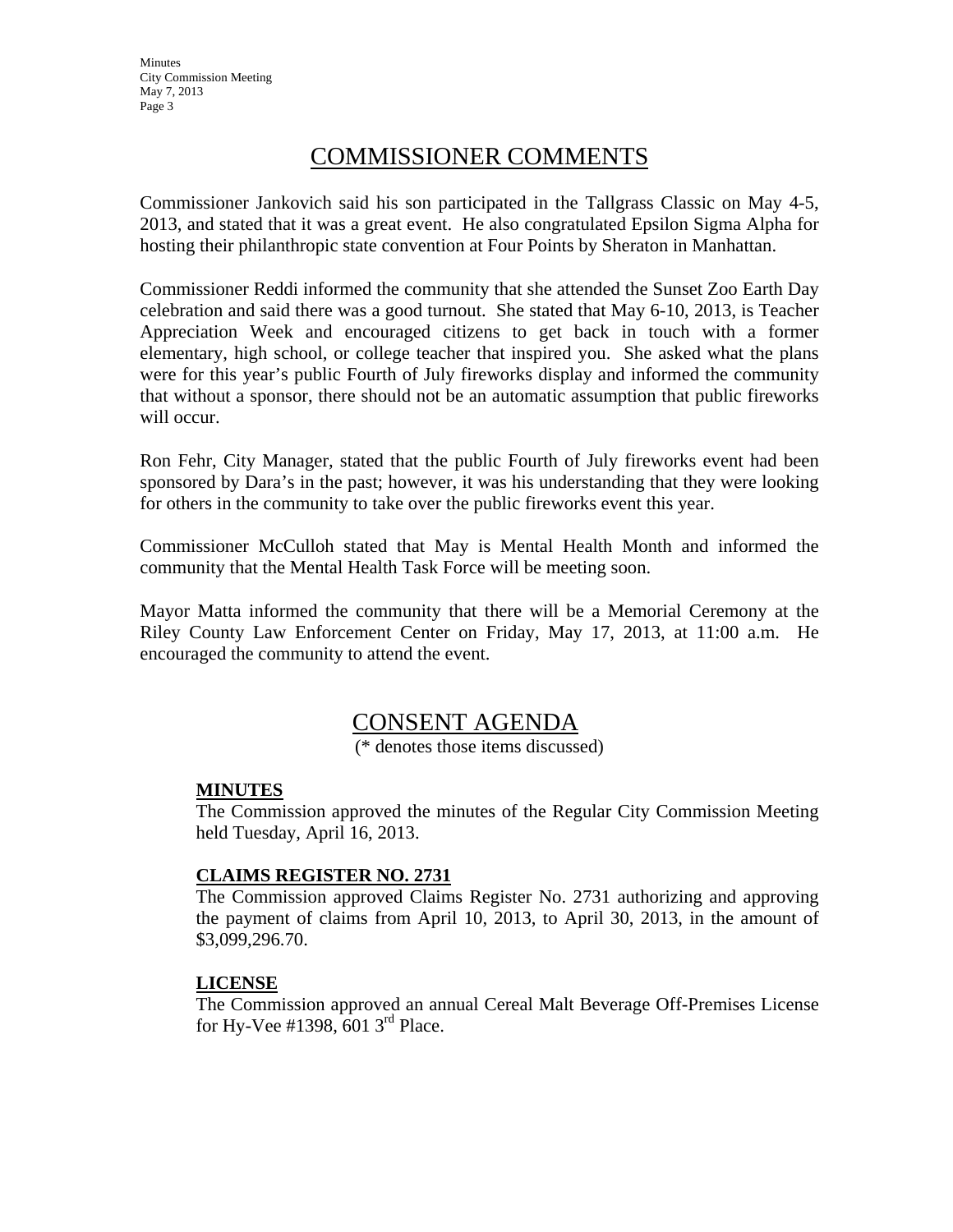# COMMISSIONER COMMENTS

Commissioner Jankovich said his son participated in the Tallgrass Classic on May 4-5, 2013, and stated that it was a great event. He also congratulated Epsilon Sigma Alpha for hosting their philanthropic state convention at Four Points by Sheraton in Manhattan.

Commissioner Reddi informed the community that she attended the Sunset Zoo Earth Day celebration and said there was a good turnout. She stated that May 6-10, 2013, is Teacher Appreciation Week and encouraged citizens to get back in touch with a former elementary, high school, or college teacher that inspired you. She asked what the plans were for this year's public Fourth of July fireworks display and informed the community that without a sponsor, there should not be an automatic assumption that public fireworks will occur.

Ron Fehr, City Manager, stated that the public Fourth of July fireworks event had been sponsored by Dara's in the past; however, it was his understanding that they were looking for others in the community to take over the public fireworks event this year.

Commissioner McCulloh stated that May is Mental Health Month and informed the community that the Mental Health Task Force will be meeting soon.

Mayor Matta informed the community that there will be a Memorial Ceremony at the Riley County Law Enforcement Center on Friday, May 17, 2013, at 11:00 a.m. He encouraged the community to attend the event.

# CONSENT AGENDA

(\* denotes those items discussed)

# **MINUTES**

The Commission approved the minutes of the Regular City Commission Meeting held Tuesday, April 16, 2013.

# **CLAIMS REGISTER NO. 2731**

The Commission approved Claims Register No. 2731 authorizing and approving the payment of claims from April 10, 2013, to April 30, 2013, in the amount of \$3,099,296.70.

# **LICENSE**

The Commission approved an annual Cereal Malt Beverage Off-Premises License for Hy-Vee  $\#1398, 6013$ <sup>rd</sup> Place.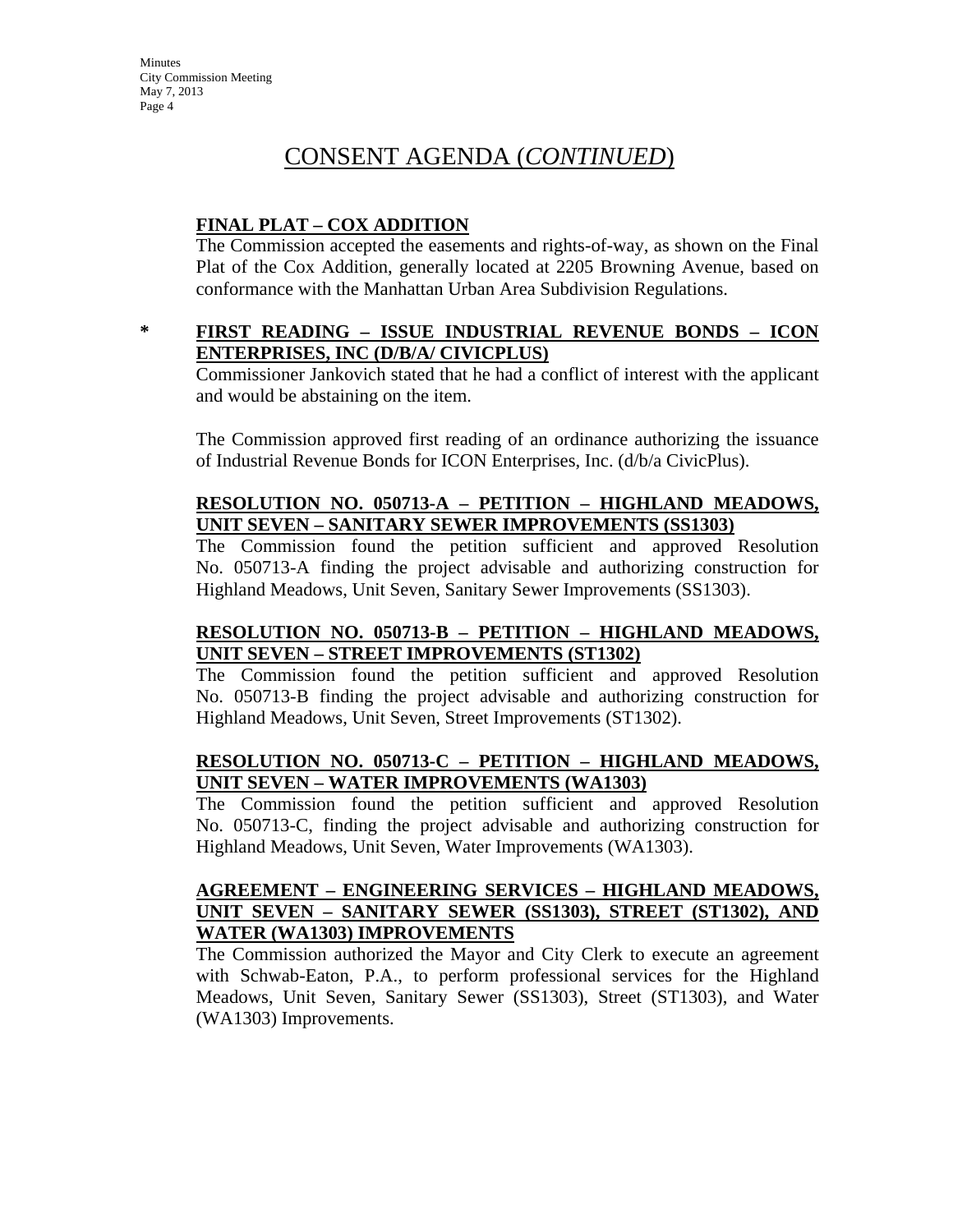# CONSENT AGENDA (*CONTINUED*)

# **FINAL PLAT – COX ADDITION**

The Commission accepted the easements and rights-of-way, as shown on the Final Plat of the Cox Addition, generally located at 2205 Browning Avenue, based on conformance with the Manhattan Urban Area Subdivision Regulations.

# **\* FIRST READING – ISSUE INDUSTRIAL REVENUE BONDS – ICON ENTERPRISES, INC (D/B/A/ CIVICPLUS)**

Commissioner Jankovich stated that he had a conflict of interest with the applicant and would be abstaining on the item.

The Commission approved first reading of an ordinance authorizing the issuance of Industrial Revenue Bonds for ICON Enterprises, Inc. (d/b/a CivicPlus).

# **RESOLUTION NO. 050713-A – PETITION – HIGHLAND MEADOWS, UNIT SEVEN – SANITARY SEWER IMPROVEMENTS (SS1303)**

The Commission found the petition sufficient and approved Resolution No. 050713-A finding the project advisable and authorizing construction for Highland Meadows, Unit Seven, Sanitary Sewer Improvements (SS1303).

# **RESOLUTION NO. 050713-B – PETITION – HIGHLAND MEADOWS, UNIT SEVEN – STREET IMPROVEMENTS (ST1302)**

The Commission found the petition sufficient and approved Resolution No. 050713-B finding the project advisable and authorizing construction for Highland Meadows, Unit Seven, Street Improvements (ST1302).

# **RESOLUTION NO. 050713-C – PETITION – HIGHLAND MEADOWS, UNIT SEVEN – WATER IMPROVEMENTS (WA1303)**

The Commission found the petition sufficient and approved Resolution No. 050713-C, finding the project advisable and authorizing construction for Highland Meadows, Unit Seven, Water Improvements (WA1303).

# **AGREEMENT – ENGINEERING SERVICES – HIGHLAND MEADOWS, UNIT SEVEN – SANITARY SEWER (SS1303), STREET (ST1302), AND WATER (WA1303) IMPROVEMENTS**

The Commission authorized the Mayor and City Clerk to execute an agreement with Schwab-Eaton, P.A., to perform professional services for the Highland Meadows, Unit Seven, Sanitary Sewer (SS1303), Street (ST1303), and Water (WA1303) Improvements.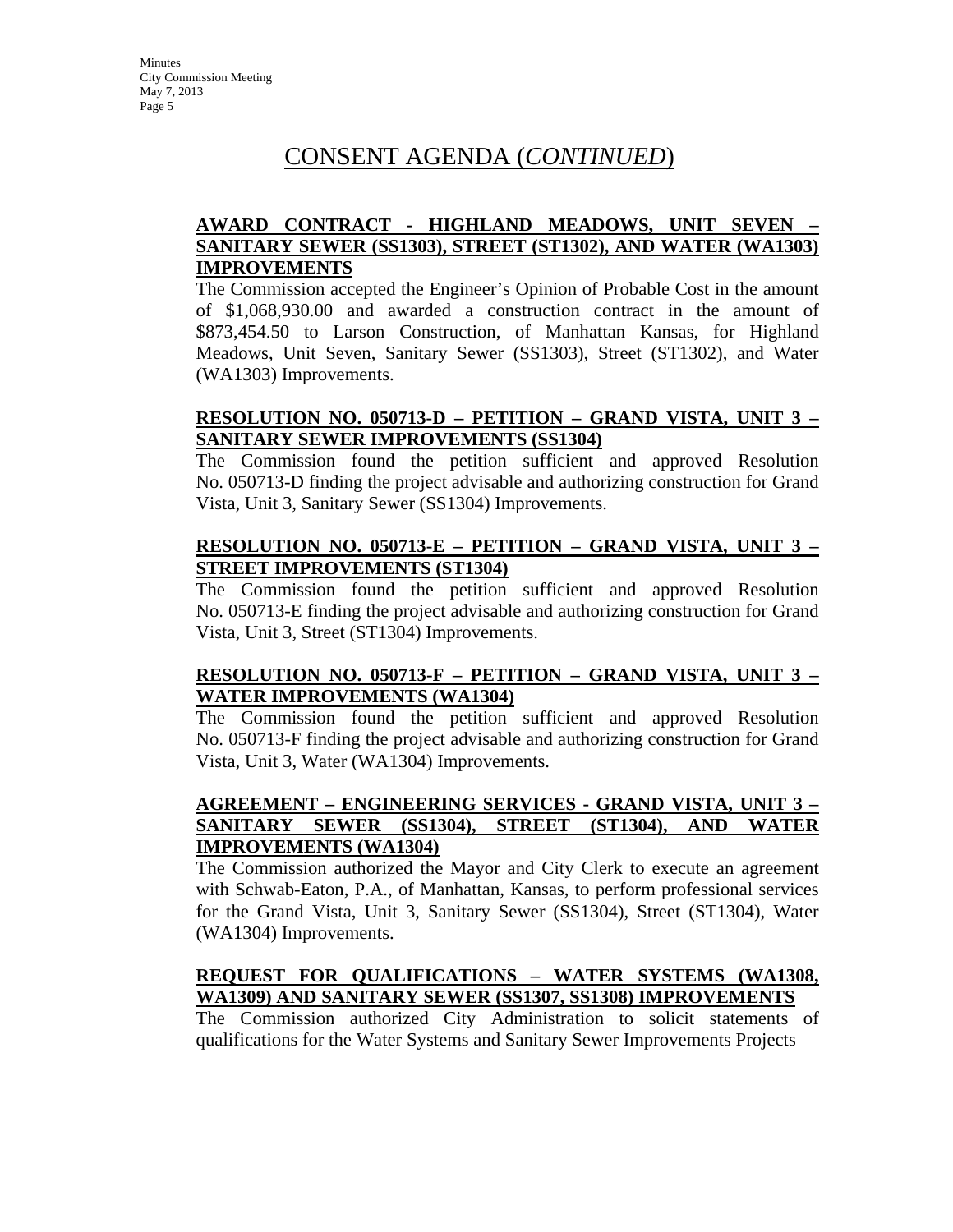# **AWARD CONTRACT - HIGHLAND MEADOWS, UNIT SEVEN – SANITARY SEWER (SS1303), STREET (ST1302), AND WATER (WA1303) IMPROVEMENTS**

The Commission accepted the Engineer's Opinion of Probable Cost in the amount of \$1,068,930.00 and awarded a construction contract in the amount of \$873,454.50 to Larson Construction, of Manhattan Kansas, for Highland Meadows, Unit Seven, Sanitary Sewer (SS1303), Street (ST1302), and Water (WA1303) Improvements.

# **RESOLUTION NO. 050713-D – PETITION – GRAND VISTA, UNIT 3 – SANITARY SEWER IMPROVEMENTS (SS1304)**

The Commission found the petition sufficient and approved Resolution No. 050713-D finding the project advisable and authorizing construction for Grand Vista, Unit 3, Sanitary Sewer (SS1304) Improvements.

### **RESOLUTION NO. 050713-E – PETITION – GRAND VISTA, UNIT 3 – STREET IMPROVEMENTS (ST1304)**

The Commission found the petition sufficient and approved Resolution No. 050713-E finding the project advisable and authorizing construction for Grand Vista, Unit 3, Street (ST1304) Improvements.

# **RESOLUTION NO. 050713-F – PETITION – GRAND VISTA, UNIT 3 – WATER IMPROVEMENTS (WA1304)**

The Commission found the petition sufficient and approved Resolution No. 050713-F finding the project advisable and authorizing construction for Grand Vista, Unit 3, Water (WA1304) Improvements.

#### **AGREEMENT – ENGINEERING SERVICES - GRAND VISTA, UNIT 3 – SANITARY SEWER (SS1304), STREET (ST1304), AND WATER IMPROVEMENTS (WA1304)**

The Commission authorized the Mayor and City Clerk to execute an agreement with Schwab-Eaton, P.A., of Manhattan, Kansas, to perform professional services for the Grand Vista, Unit 3, Sanitary Sewer (SS1304), Street (ST1304), Water (WA1304) Improvements.

### **REQUEST FOR QUALIFICATIONS – WATER SYSTEMS (WA1308, WA1309) AND SANITARY SEWER (SS1307, SS1308) IMPROVEMENTS**

The Commission authorized City Administration to solicit statements of qualifications for the Water Systems and Sanitary Sewer Improvements Projects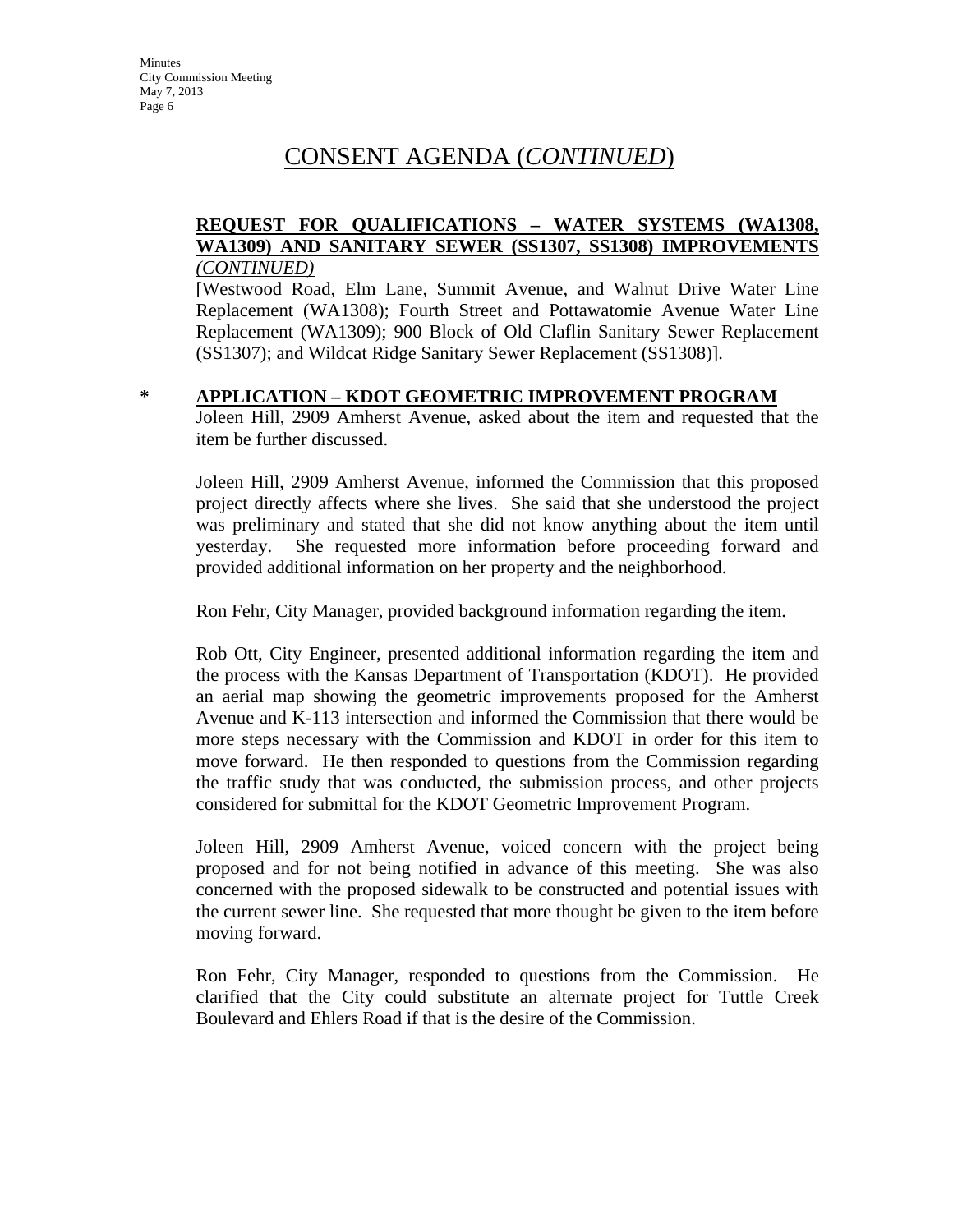#### **REQUEST FOR QUALIFICATIONS – WATER SYSTEMS (WA1308, WA1309) AND SANITARY SEWER (SS1307, SS1308) IMPROVEMENTS** *(CONTINUED)*

[Westwood Road, Elm Lane, Summit Avenue, and Walnut Drive Water Line Replacement (WA1308); Fourth Street and Pottawatomie Avenue Water Line Replacement (WA1309); 900 Block of Old Claflin Sanitary Sewer Replacement (SS1307); and Wildcat Ridge Sanitary Sewer Replacement (SS1308)].

#### **\* APPLICATION – KDOT GEOMETRIC IMPROVEMENT PROGRAM**

Joleen Hill, 2909 Amherst Avenue, asked about the item and requested that the item be further discussed.

Joleen Hill, 2909 Amherst Avenue, informed the Commission that this proposed project directly affects where she lives. She said that she understood the project was preliminary and stated that she did not know anything about the item until yesterday. She requested more information before proceeding forward and provided additional information on her property and the neighborhood.

Ron Fehr, City Manager, provided background information regarding the item.

Rob Ott, City Engineer, presented additional information regarding the item and the process with the Kansas Department of Transportation (KDOT). He provided an aerial map showing the geometric improvements proposed for the Amherst Avenue and K-113 intersection and informed the Commission that there would be more steps necessary with the Commission and KDOT in order for this item to move forward. He then responded to questions from the Commission regarding the traffic study that was conducted, the submission process, and other projects considered for submittal for the KDOT Geometric Improvement Program.

Joleen Hill, 2909 Amherst Avenue, voiced concern with the project being proposed and for not being notified in advance of this meeting. She was also concerned with the proposed sidewalk to be constructed and potential issues with the current sewer line. She requested that more thought be given to the item before moving forward.

Ron Fehr, City Manager, responded to questions from the Commission. He clarified that the City could substitute an alternate project for Tuttle Creek Boulevard and Ehlers Road if that is the desire of the Commission.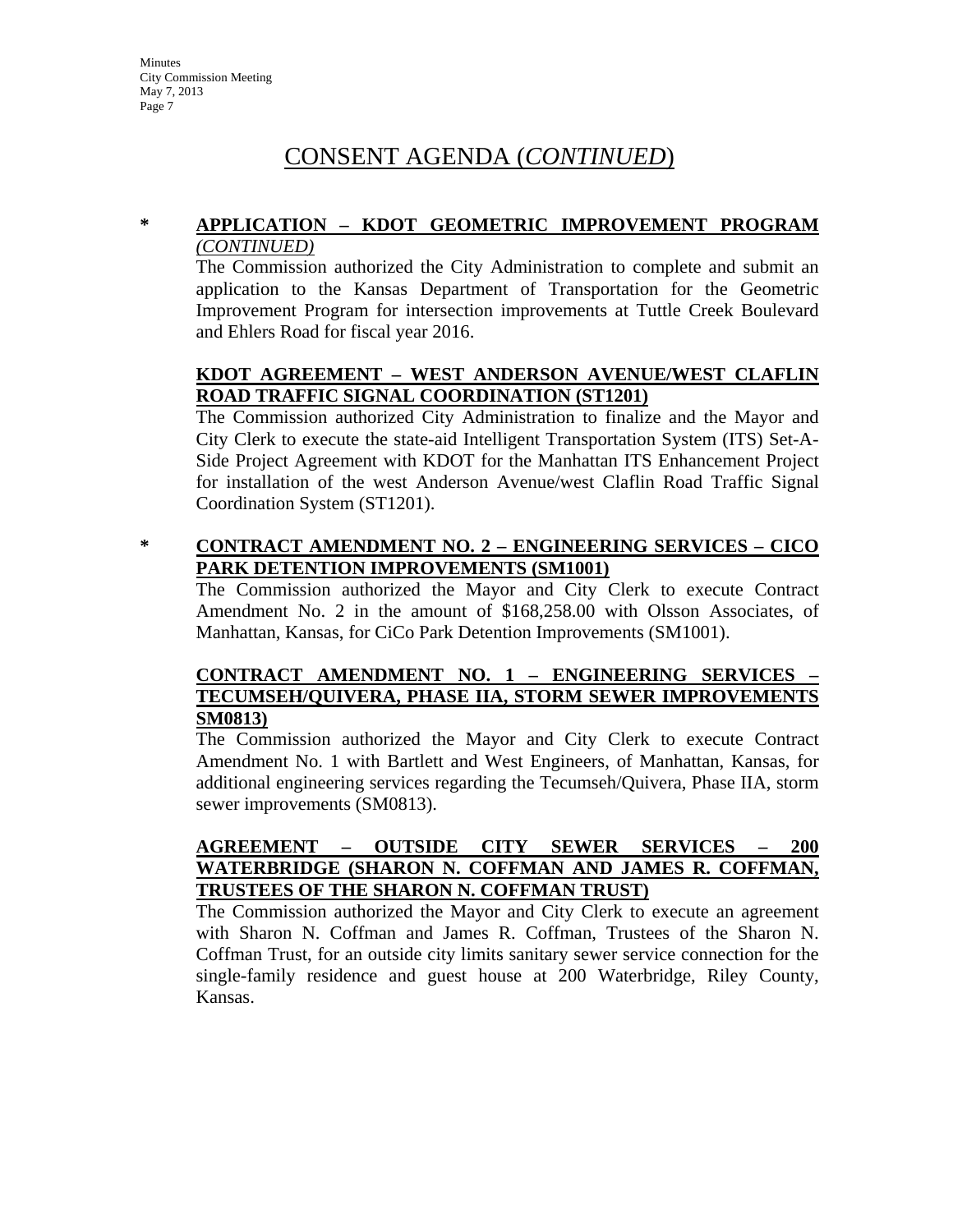#### **\* APPLICATION – KDOT GEOMETRIC IMPROVEMENT PROGRAM**  *(CONTINUED)*

The Commission authorized the City Administration to complete and submit an application to the Kansas Department of Transportation for the Geometric Improvement Program for intersection improvements at Tuttle Creek Boulevard and Ehlers Road for fiscal year 2016.

# **KDOT AGREEMENT – WEST ANDERSON AVENUE/WEST CLAFLIN ROAD TRAFFIC SIGNAL COORDINATION (ST1201)**

The Commission authorized City Administration to finalize and the Mayor and City Clerk to execute the state-aid Intelligent Transportation System (ITS) Set-A-Side Project Agreement with KDOT for the Manhattan ITS Enhancement Project for installation of the west Anderson Avenue/west Claflin Road Traffic Signal Coordination System (ST1201).

# **\* CONTRACT AMENDMENT NO. 2 – ENGINEERING SERVICES – CICO PARK DETENTION IMPROVEMENTS (SM1001)**

The Commission authorized the Mayor and City Clerk to execute Contract Amendment No. 2 in the amount of \$168,258.00 with Olsson Associates, of Manhattan, Kansas, for CiCo Park Detention Improvements (SM1001).

# **CONTRACT AMENDMENT NO. 1 – ENGINEERING SERVICES – TECUMSEH/QUIVERA, PHASE IIA, STORM SEWER IMPROVEMENTS SM0813)**

The Commission authorized the Mayor and City Clerk to execute Contract Amendment No. 1 with Bartlett and West Engineers, of Manhattan, Kansas, for additional engineering services regarding the Tecumseh/Quivera, Phase IIA, storm sewer improvements (SM0813).

# **AGREEMENT – OUTSIDE CITY SEWER SERVICES – 200 WATERBRIDGE (SHARON N. COFFMAN AND JAMES R. COFFMAN, TRUSTEES OF THE SHARON N. COFFMAN TRUST)**

The Commission authorized the Mayor and City Clerk to execute an agreement with Sharon N. Coffman and James R. Coffman, Trustees of the Sharon N. Coffman Trust, for an outside city limits sanitary sewer service connection for the single-family residence and guest house at 200 Waterbridge, Riley County, Kansas.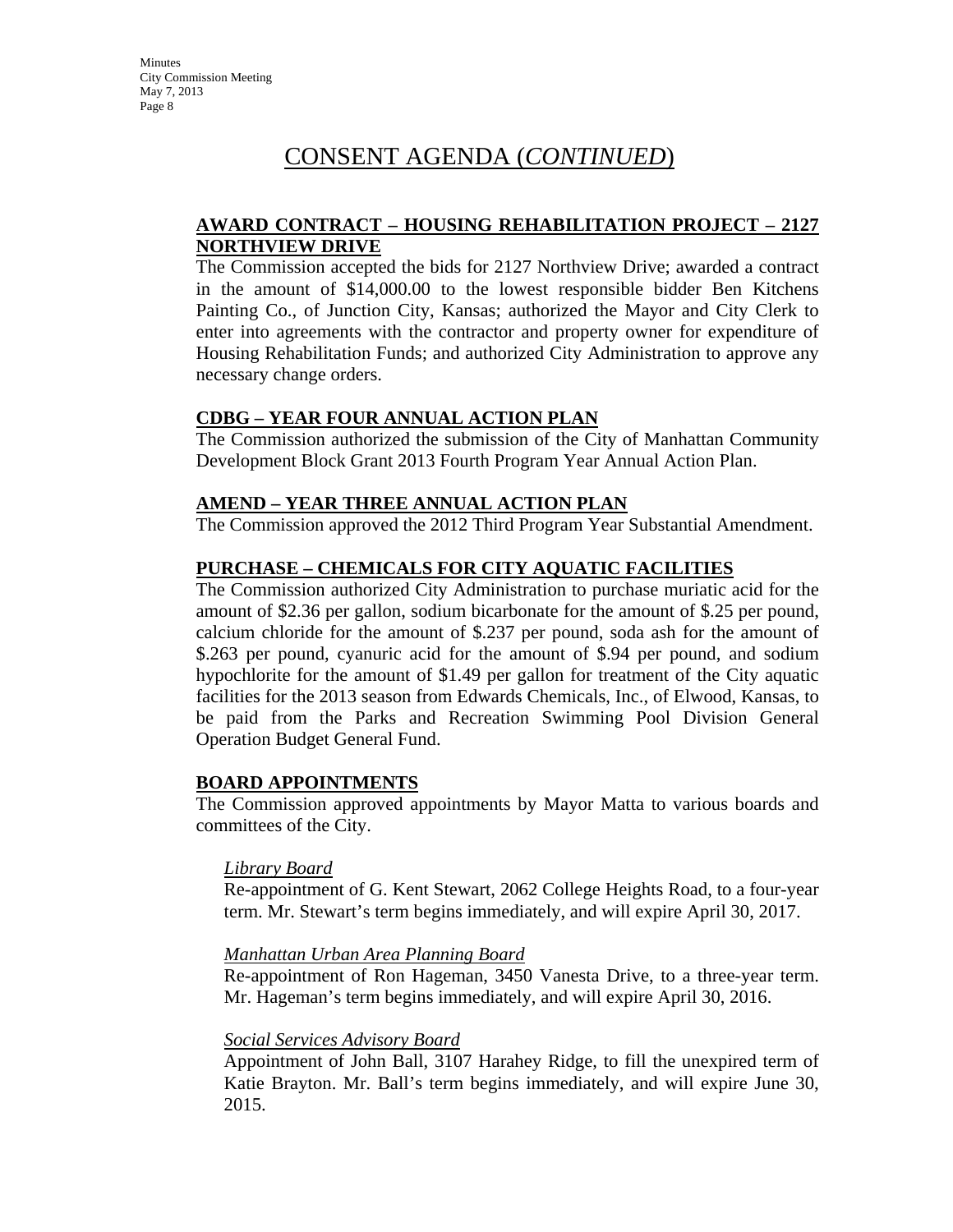### **AWARD CONTRACT – HOUSING REHABILITATION PROJECT – 2127 NORTHVIEW DRIVE**

The Commission accepted the bids for 2127 Northview Drive; awarded a contract in the amount of \$14,000.00 to the lowest responsible bidder Ben Kitchens Painting Co., of Junction City, Kansas; authorized the Mayor and City Clerk to enter into agreements with the contractor and property owner for expenditure of Housing Rehabilitation Funds; and authorized City Administration to approve any necessary change orders.

### **CDBG – YEAR FOUR ANNUAL ACTION PLAN**

The Commission authorized the submission of the City of Manhattan Community Development Block Grant 2013 Fourth Program Year Annual Action Plan.

### **AMEND – YEAR THREE ANNUAL ACTION PLAN**

The Commission approved the 2012 Third Program Year Substantial Amendment.

### **PURCHASE – CHEMICALS FOR CITY AQUATIC FACILITIES**

The Commission authorized City Administration to purchase muriatic acid for the amount of \$2.36 per gallon, sodium bicarbonate for the amount of \$.25 per pound, calcium chloride for the amount of \$.237 per pound, soda ash for the amount of \$.263 per pound, cyanuric acid for the amount of \$.94 per pound, and sodium hypochlorite for the amount of \$1.49 per gallon for treatment of the City aquatic facilities for the 2013 season from Edwards Chemicals, Inc., of Elwood, Kansas, to be paid from the Parks and Recreation Swimming Pool Division General Operation Budget General Fund.

#### **BOARD APPOINTMENTS**

The Commission approved appointments by Mayor Matta to various boards and committees of the City.

#### *Library Board*

Re-appointment of G. Kent Stewart, 2062 College Heights Road, to a four-year term. Mr. Stewart's term begins immediately, and will expire April 30, 2017.

#### *Manhattan Urban Area Planning Board*

Re-appointment of Ron Hageman, 3450 Vanesta Drive, to a three-year term. Mr. Hageman's term begins immediately, and will expire April 30, 2016.

#### *Social Services Advisory Board*

Appointment of John Ball, 3107 Harahey Ridge, to fill the unexpired term of Katie Brayton. Mr. Ball's term begins immediately, and will expire June 30, 2015.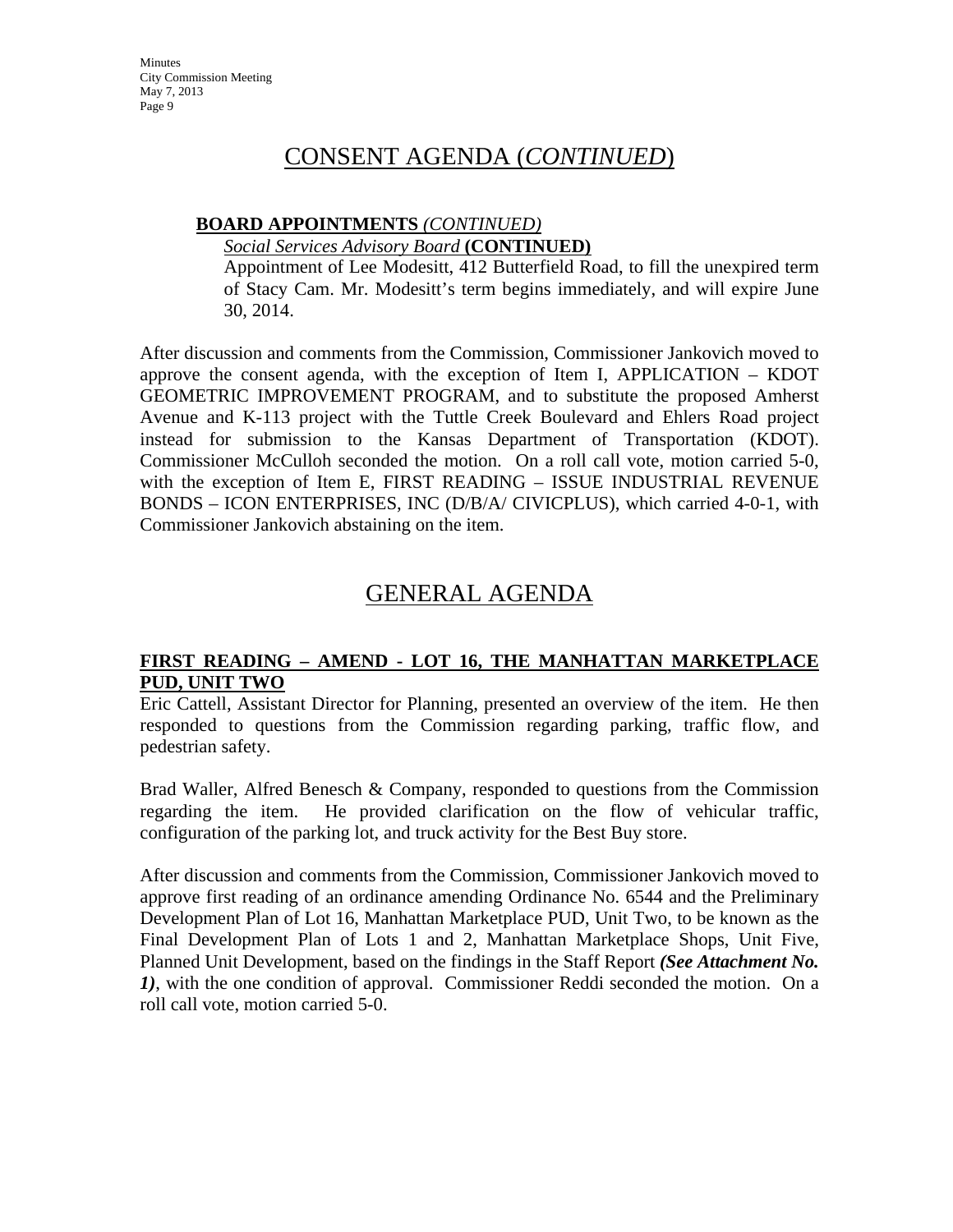### **BOARD APPOINTMENTS** *(CONTINUED)*

#### *Social Services Advisory Board* **(CONTINUED)**

Appointment of Lee Modesitt, 412 Butterfield Road, to fill the unexpired term of Stacy Cam. Mr. Modesitt's term begins immediately, and will expire June 30, 2014.

After discussion and comments from the Commission, Commissioner Jankovich moved to approve the consent agenda, with the exception of Item I, APPLICATION – KDOT GEOMETRIC IMPROVEMENT PROGRAM, and to substitute the proposed Amherst Avenue and K-113 project with the Tuttle Creek Boulevard and Ehlers Road project instead for submission to the Kansas Department of Transportation (KDOT). Commissioner McCulloh seconded the motion. On a roll call vote, motion carried 5-0, with the exception of Item E, FIRST READING – ISSUE INDUSTRIAL REVENUE BONDS – ICON ENTERPRISES, INC (D/B/A/ CIVICPLUS), which carried 4-0-1, with Commissioner Jankovich abstaining on the item.

# GENERAL AGENDA

# **FIRST READING – AMEND - LOT 16, THE MANHATTAN MARKETPLACE PUD, UNIT TWO**

Eric Cattell, Assistant Director for Planning, presented an overview of the item. He then responded to questions from the Commission regarding parking, traffic flow, and pedestrian safety.

Brad Waller, Alfred Benesch & Company, responded to questions from the Commission regarding the item. He provided clarification on the flow of vehicular traffic, configuration of the parking lot, and truck activity for the Best Buy store.

After discussion and comments from the Commission, Commissioner Jankovich moved to approve first reading of an ordinance amending Ordinance No. 6544 and the Preliminary Development Plan of Lot 16, Manhattan Marketplace PUD, Unit Two, to be known as the Final Development Plan of Lots 1 and 2, Manhattan Marketplace Shops, Unit Five, Planned Unit Development, based on the findings in the Staff Report *(See Attachment No. 1)*, with the one condition of approval. Commissioner Reddi seconded the motion. On a roll call vote, motion carried 5-0.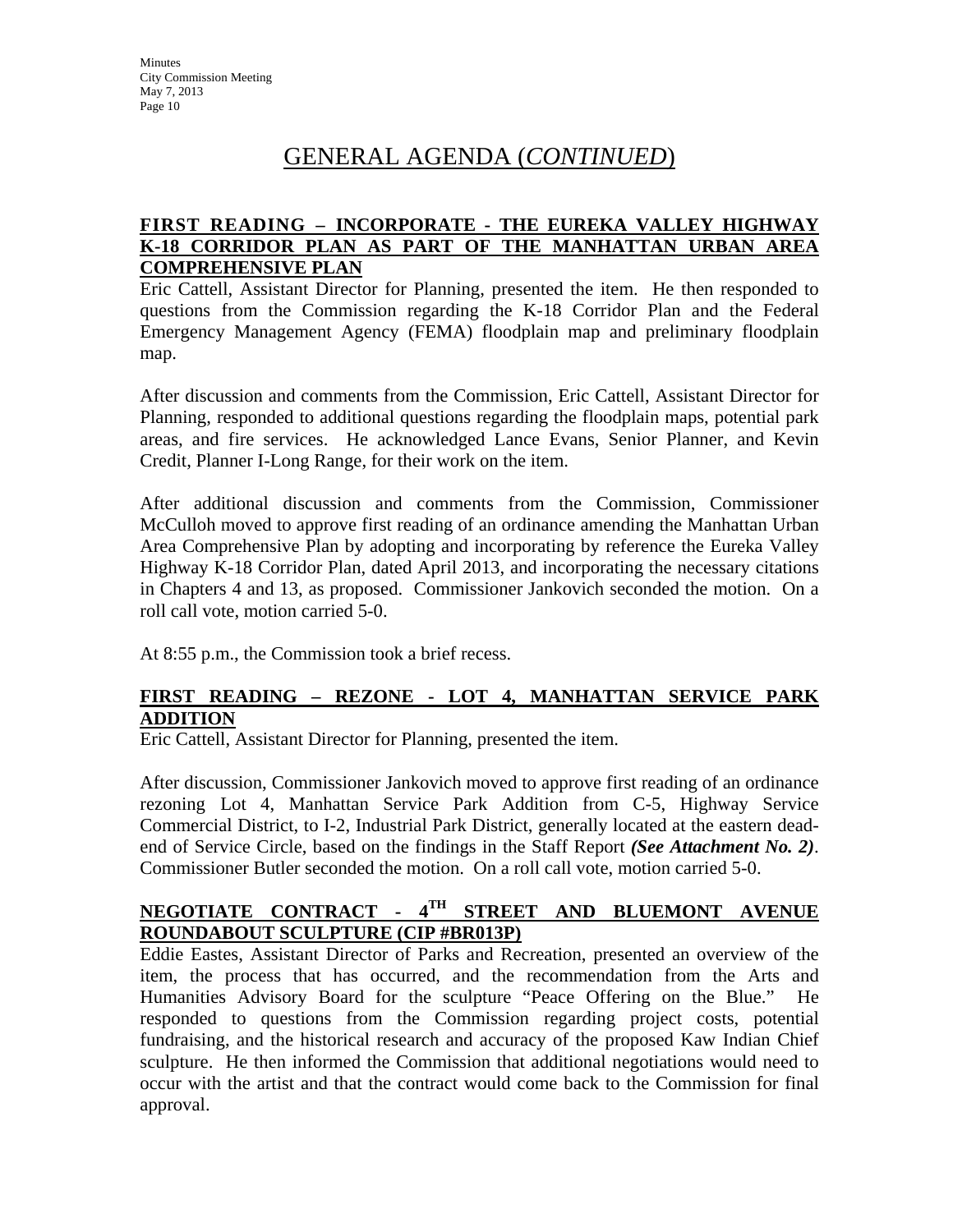# GENERAL AGENDA (*CONTINUED*)

# **FIRST READING – INCORPORATE - THE EUREKA VALLEY HIGHWAY K-18 CORRIDOR PLAN AS PART OF THE MANHATTAN URBAN AREA COMPREHENSIVE PLAN**

Eric Cattell, Assistant Director for Planning, presented the item. He then responded to questions from the Commission regarding the K-18 Corridor Plan and the Federal Emergency Management Agency (FEMA) floodplain map and preliminary floodplain map.

After discussion and comments from the Commission, Eric Cattell, Assistant Director for Planning, responded to additional questions regarding the floodplain maps, potential park areas, and fire services. He acknowledged Lance Evans, Senior Planner, and Kevin Credit, Planner I-Long Range, for their work on the item.

After additional discussion and comments from the Commission, Commissioner McCulloh moved to approve first reading of an ordinance amending the Manhattan Urban Area Comprehensive Plan by adopting and incorporating by reference the Eureka Valley Highway K-18 Corridor Plan, dated April 2013, and incorporating the necessary citations in Chapters 4 and 13, as proposed. Commissioner Jankovich seconded the motion. On a roll call vote, motion carried 5-0.

At 8:55 p.m., the Commission took a brief recess.

# **FIRST READING – REZONE - LOT 4, MANHATTAN SERVICE PARK ADDITION**

Eric Cattell, Assistant Director for Planning, presented the item.

After discussion, Commissioner Jankovich moved to approve first reading of an ordinance rezoning Lot 4, Manhattan Service Park Addition from C-5, Highway Service Commercial District, to I-2, Industrial Park District, generally located at the eastern deadend of Service Circle, based on the findings in the Staff Report *(See Attachment No. 2)*. Commissioner Butler seconded the motion. On a roll call vote, motion carried 5-0.

# **NEGOTIATE CONTRACT - 4TH STREET AND BLUEMONT AVENUE ROUNDABOUT SCULPTURE (CIP #BR013P)**

Eddie Eastes, Assistant Director of Parks and Recreation, presented an overview of the item, the process that has occurred, and the recommendation from the Arts and Humanities Advisory Board for the sculpture "Peace Offering on the Blue." He responded to questions from the Commission regarding project costs, potential fundraising, and the historical research and accuracy of the proposed Kaw Indian Chief sculpture. He then informed the Commission that additional negotiations would need to occur with the artist and that the contract would come back to the Commission for final approval.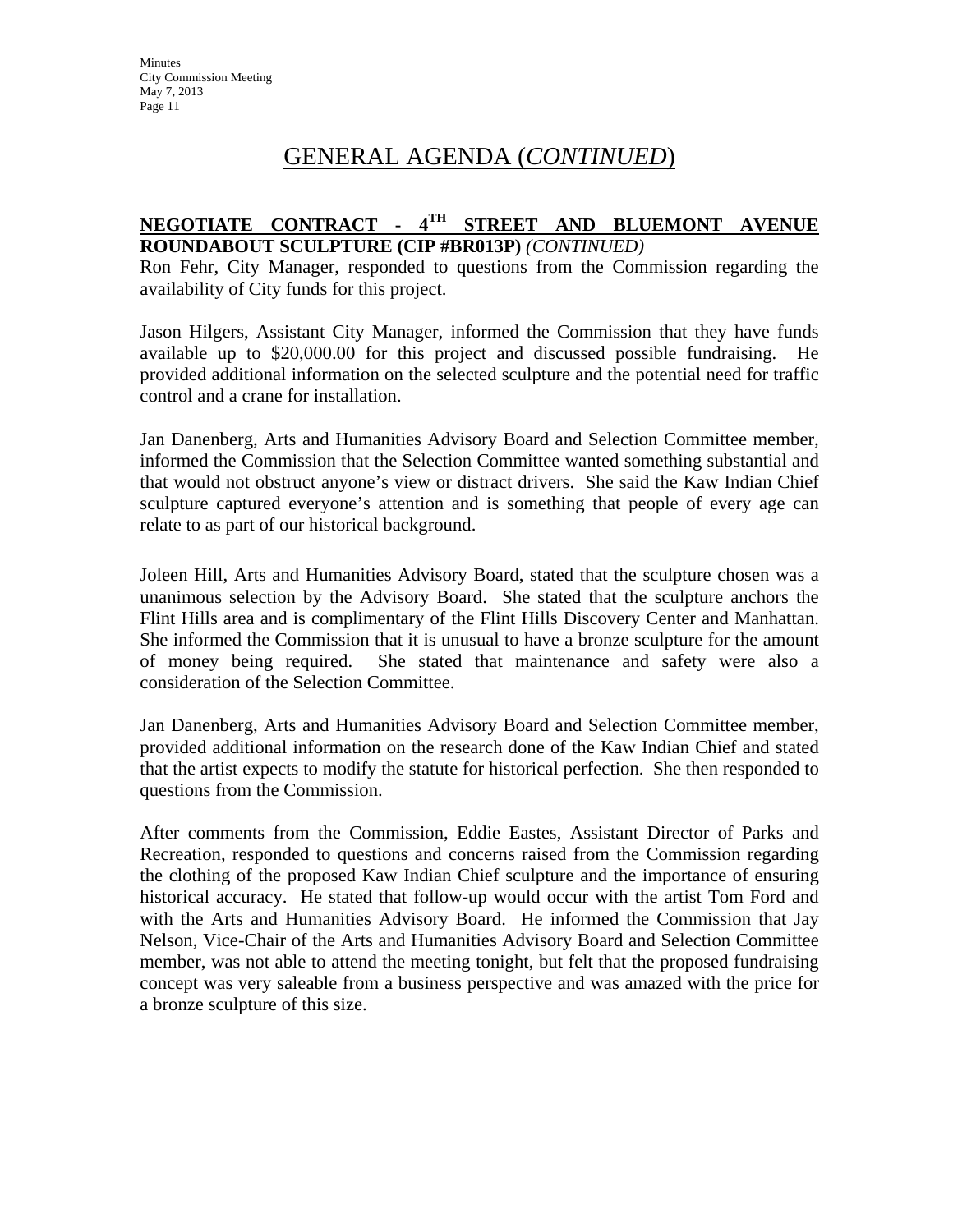# GENERAL AGENDA (*CONTINUED*)

# **NEGOTIATE CONTRACT - 4TH STREET AND BLUEMONT AVENUE ROUNDABOUT SCULPTURE (CIP #BR013P)** *(CONTINUED)*

Ron Fehr, City Manager, responded to questions from the Commission regarding the availability of City funds for this project.

Jason Hilgers, Assistant City Manager, informed the Commission that they have funds available up to \$20,000.00 for this project and discussed possible fundraising. He provided additional information on the selected sculpture and the potential need for traffic control and a crane for installation.

Jan Danenberg, Arts and Humanities Advisory Board and Selection Committee member, informed the Commission that the Selection Committee wanted something substantial and that would not obstruct anyone's view or distract drivers. She said the Kaw Indian Chief sculpture captured everyone's attention and is something that people of every age can relate to as part of our historical background.

Joleen Hill, Arts and Humanities Advisory Board, stated that the sculpture chosen was a unanimous selection by the Advisory Board. She stated that the sculpture anchors the Flint Hills area and is complimentary of the Flint Hills Discovery Center and Manhattan. She informed the Commission that it is unusual to have a bronze sculpture for the amount of money being required. She stated that maintenance and safety were also a consideration of the Selection Committee.

Jan Danenberg, Arts and Humanities Advisory Board and Selection Committee member, provided additional information on the research done of the Kaw Indian Chief and stated that the artist expects to modify the statute for historical perfection. She then responded to questions from the Commission.

After comments from the Commission, Eddie Eastes, Assistant Director of Parks and Recreation, responded to questions and concerns raised from the Commission regarding the clothing of the proposed Kaw Indian Chief sculpture and the importance of ensuring historical accuracy. He stated that follow-up would occur with the artist Tom Ford and with the Arts and Humanities Advisory Board. He informed the Commission that Jay Nelson, Vice-Chair of the Arts and Humanities Advisory Board and Selection Committee member, was not able to attend the meeting tonight, but felt that the proposed fundraising concept was very saleable from a business perspective and was amazed with the price for a bronze sculpture of this size.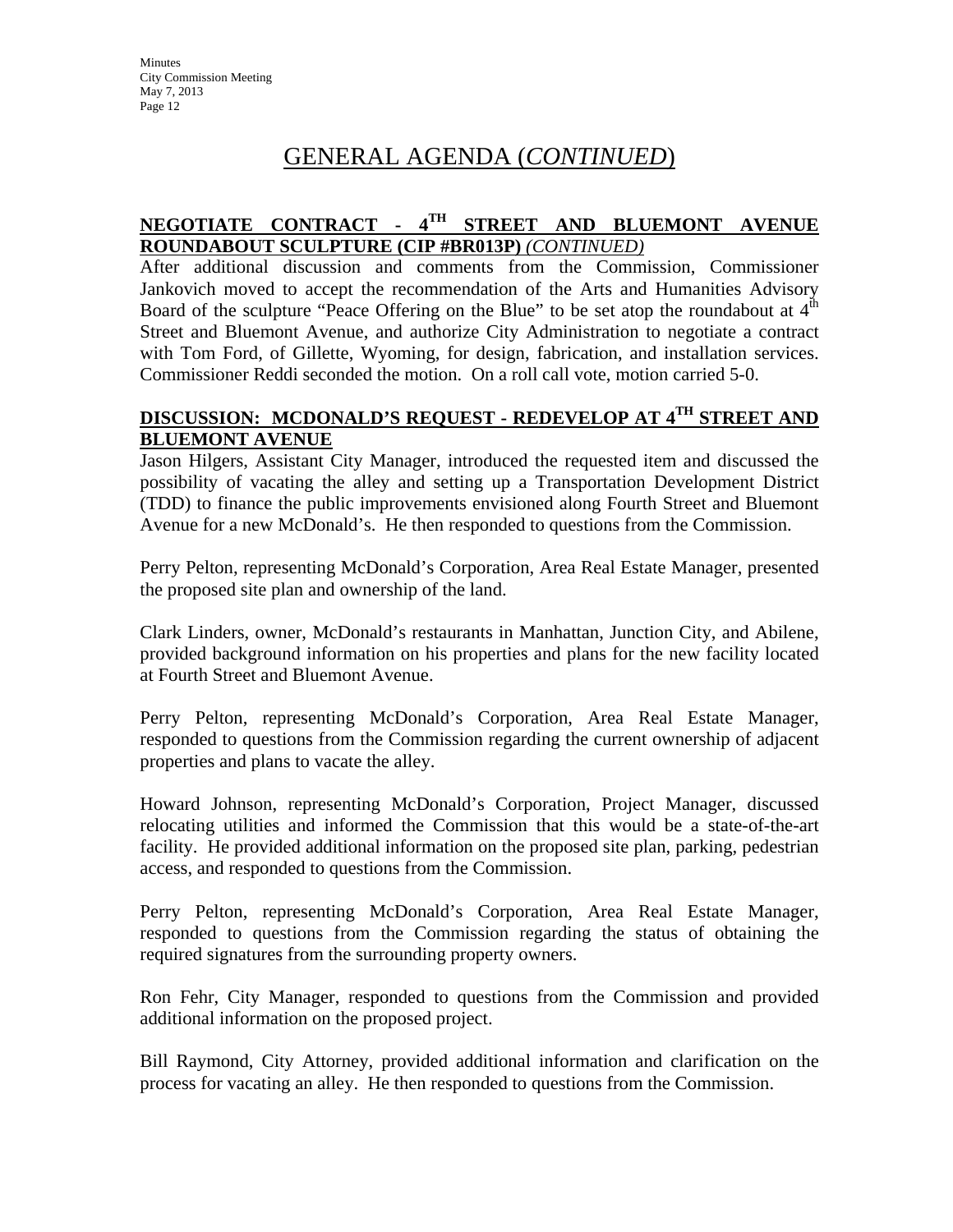# GENERAL AGENDA (*CONTINUED*)

# **NEGOTIATE CONTRACT - 4TH STREET AND BLUEMONT AVENUE ROUNDABOUT SCULPTURE (CIP #BR013P)** *(CONTINUED)*

After additional discussion and comments from the Commission, Commissioner Jankovich moved to accept the recommendation of the Arts and Humanities Advisory Board of the sculpture "Peace Offering on the Blue" to be set atop the roundabout at  $4<sup>th</sup>$ Street and Bluemont Avenue, and authorize City Administration to negotiate a contract with Tom Ford, of Gillette, Wyoming, for design, fabrication, and installation services. Commissioner Reddi seconded the motion. On a roll call vote, motion carried 5-0.

### **DISCUSSION: MCDONALD'S REQUEST - REDEVELOP AT 4TH STREET AND BLUEMONT AVENUE**

Jason Hilgers, Assistant City Manager, introduced the requested item and discussed the possibility of vacating the alley and setting up a Transportation Development District (TDD) to finance the public improvements envisioned along Fourth Street and Bluemont Avenue for a new McDonald's. He then responded to questions from the Commission.

Perry Pelton, representing McDonald's Corporation, Area Real Estate Manager, presented the proposed site plan and ownership of the land.

Clark Linders, owner, McDonald's restaurants in Manhattan, Junction City, and Abilene, provided background information on his properties and plans for the new facility located at Fourth Street and Bluemont Avenue.

Perry Pelton, representing McDonald's Corporation, Area Real Estate Manager, responded to questions from the Commission regarding the current ownership of adjacent properties and plans to vacate the alley.

Howard Johnson, representing McDonald's Corporation, Project Manager, discussed relocating utilities and informed the Commission that this would be a state-of-the-art facility. He provided additional information on the proposed site plan, parking, pedestrian access, and responded to questions from the Commission.

Perry Pelton, representing McDonald's Corporation, Area Real Estate Manager, responded to questions from the Commission regarding the status of obtaining the required signatures from the surrounding property owners.

Ron Fehr, City Manager, responded to questions from the Commission and provided additional information on the proposed project.

Bill Raymond, City Attorney, provided additional information and clarification on the process for vacating an alley. He then responded to questions from the Commission.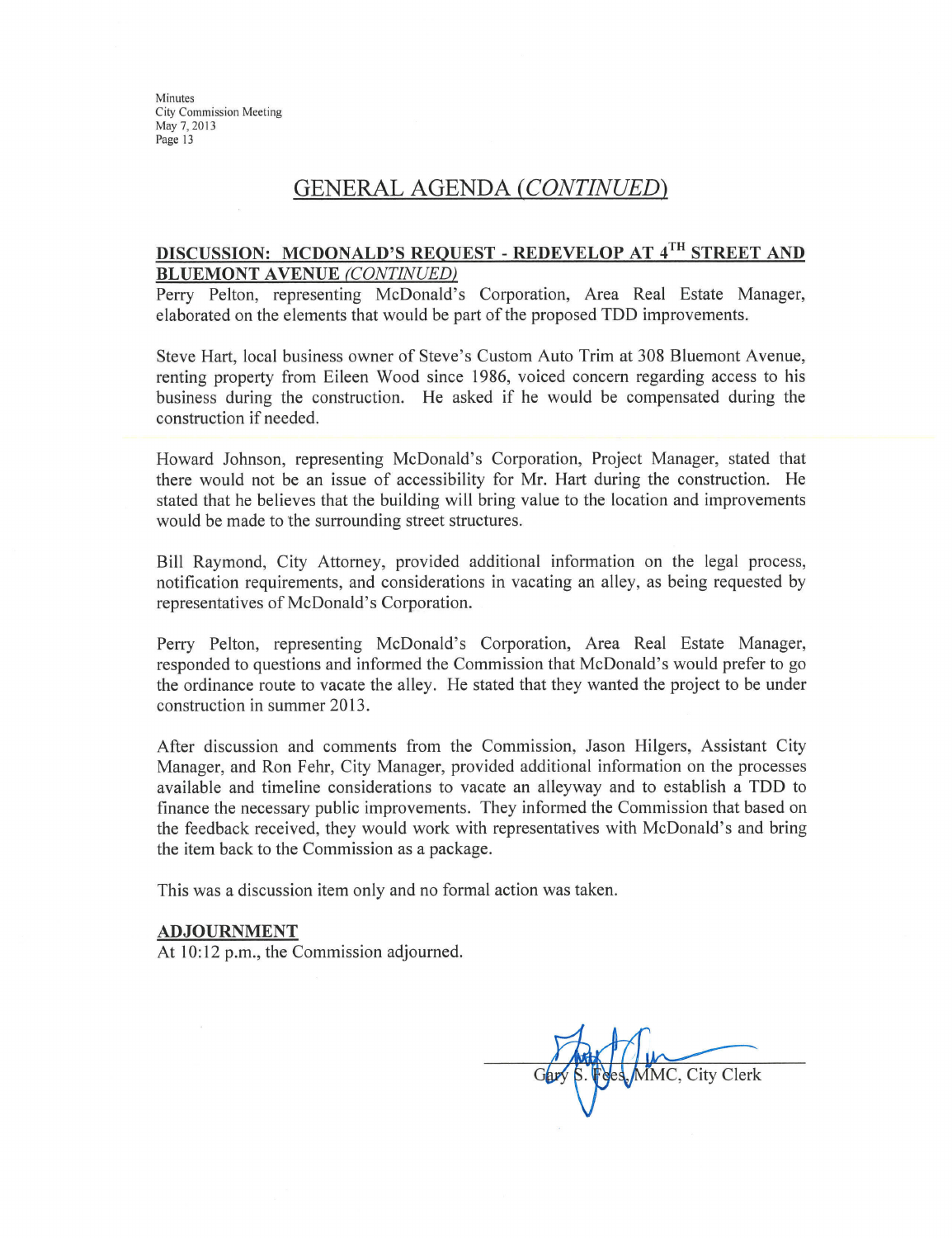# **GENERAL AGENDA (CONTINUED)**

### DISCUSSION: MCDONALD'S REQUEST - REDEVELOP AT 4TH STREET AND **BLUEMONT AVENUE (CONTINUED)**

Perry Pelton, representing McDonald's Corporation, Area Real Estate Manager, elaborated on the elements that would be part of the proposed TDD improvements.

Steve Hart, local business owner of Steve's Custom Auto Trim at 308 Bluemont Avenue, renting property from Eileen Wood since 1986, voiced concern regarding access to his business during the construction. He asked if he would be compensated during the construction if needed.

Howard Johnson, representing McDonald's Corporation, Project Manager, stated that there would not be an issue of accessibility for Mr. Hart during the construction. He stated that he believes that the building will bring value to the location and improvements would be made to the surrounding street structures.

Bill Raymond, City Attorney, provided additional information on the legal process, notification requirements, and considerations in vacating an alley, as being requested by representatives of McDonald's Corporation.

Perry Pelton, representing McDonald's Corporation, Area Real Estate Manager, responded to questions and informed the Commission that McDonald's would prefer to go the ordinance route to vacate the alley. He stated that they wanted the project to be under construction in summer 2013.

After discussion and comments from the Commission, Jason Hilgers, Assistant City Manager, and Ron Fehr, City Manager, provided additional information on the processes available and timeline considerations to vacate an alleyway and to establish a TDD to finance the necessary public improvements. They informed the Commission that based on the feedback received, they would work with representatives with McDonald's and bring the item back to the Commission as a package.

This was a discussion item only and no formal action was taken.

#### **ADJOURNMENT**

At 10:12 p.m., the Commission adjourned.

MMC, City Clerk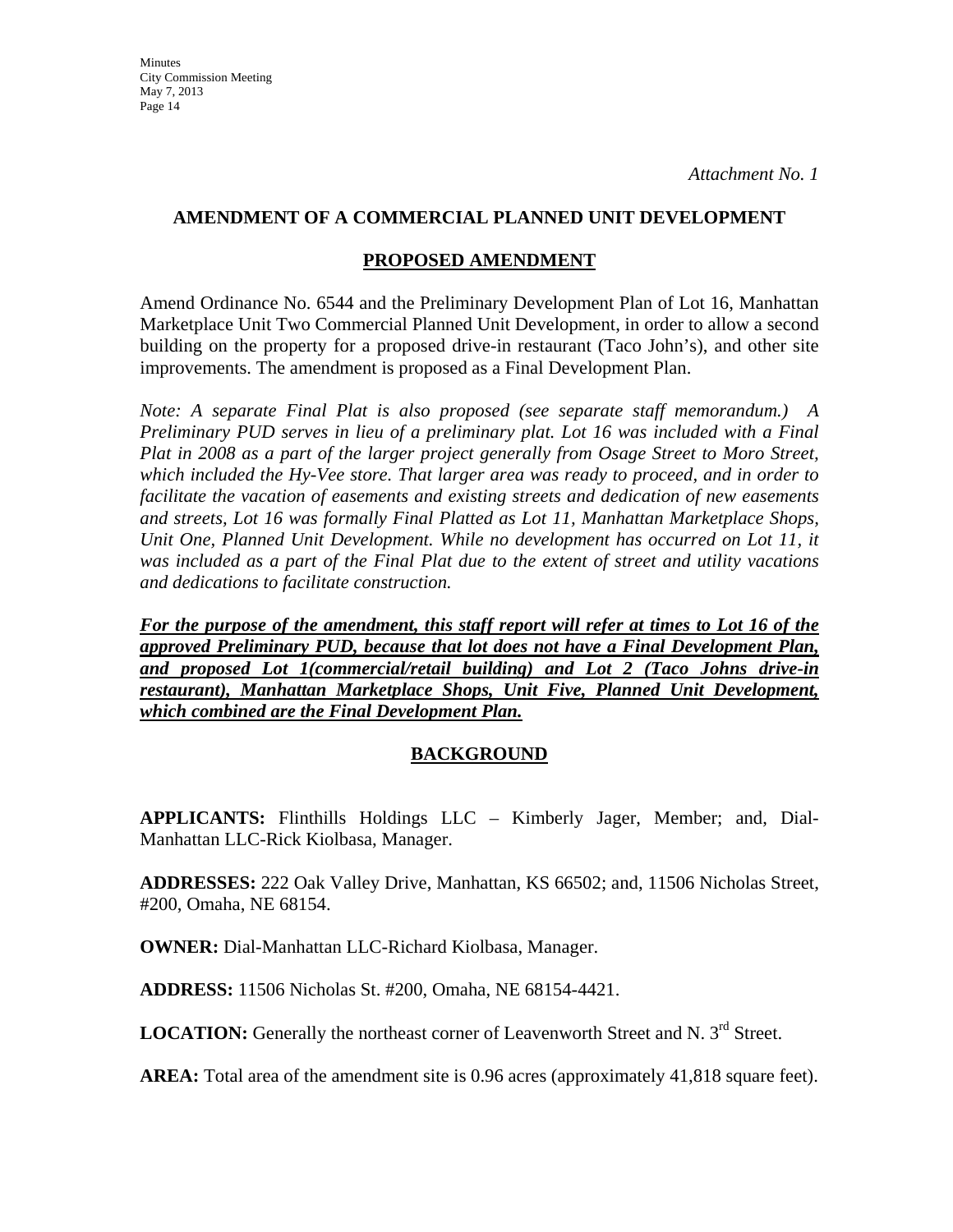# **AMENDMENT OF A COMMERCIAL PLANNED UNIT DEVELOPMENT**

# **PROPOSED AMENDMENT**

Amend Ordinance No. 6544 and the Preliminary Development Plan of Lot 16, Manhattan Marketplace Unit Two Commercial Planned Unit Development, in order to allow a second building on the property for a proposed drive-in restaurant (Taco John's), and other site improvements. The amendment is proposed as a Final Development Plan.

*Note: A separate Final Plat is also proposed (see separate staff memorandum.) A Preliminary PUD serves in lieu of a preliminary plat. Lot 16 was included with a Final Plat in 2008 as a part of the larger project generally from Osage Street to Moro Street, which included the Hy-Vee store. That larger area was ready to proceed, and in order to facilitate the vacation of easements and existing streets and dedication of new easements and streets, Lot 16 was formally Final Platted as Lot 11, Manhattan Marketplace Shops, Unit One, Planned Unit Development. While no development has occurred on Lot 11, it was included as a part of the Final Plat due to the extent of street and utility vacations and dedications to facilitate construction.* 

*For the purpose of the amendment, this staff report will refer at times to Lot 16 of the approved Preliminary PUD, because that lot does not have a Final Development Plan, and proposed Lot 1(commercial/retail building) and Lot 2 (Taco Johns drive-in restaurant), Manhattan Marketplace Shops, Unit Five, Planned Unit Development, which combined are the Final Development Plan.*

# **BACKGROUND**

**APPLICANTS:** Flinthills Holdings LLC – Kimberly Jager, Member; and, Dial-Manhattan LLC-Rick Kiolbasa, Manager.

**ADDRESSES:** 222 Oak Valley Drive, Manhattan, KS 66502; and, 11506 Nicholas Street, #200, Omaha, NE 68154.

**OWNER:** Dial-Manhattan LLC-Richard Kiolbasa, Manager.

**ADDRESS:** 11506 Nicholas St. #200, Omaha, NE 68154-4421.

LOCATION: Generally the northeast corner of Leavenworth Street and N. 3<sup>rd</sup> Street.

**AREA:** Total area of the amendment site is 0.96 acres (approximately 41,818 square feet).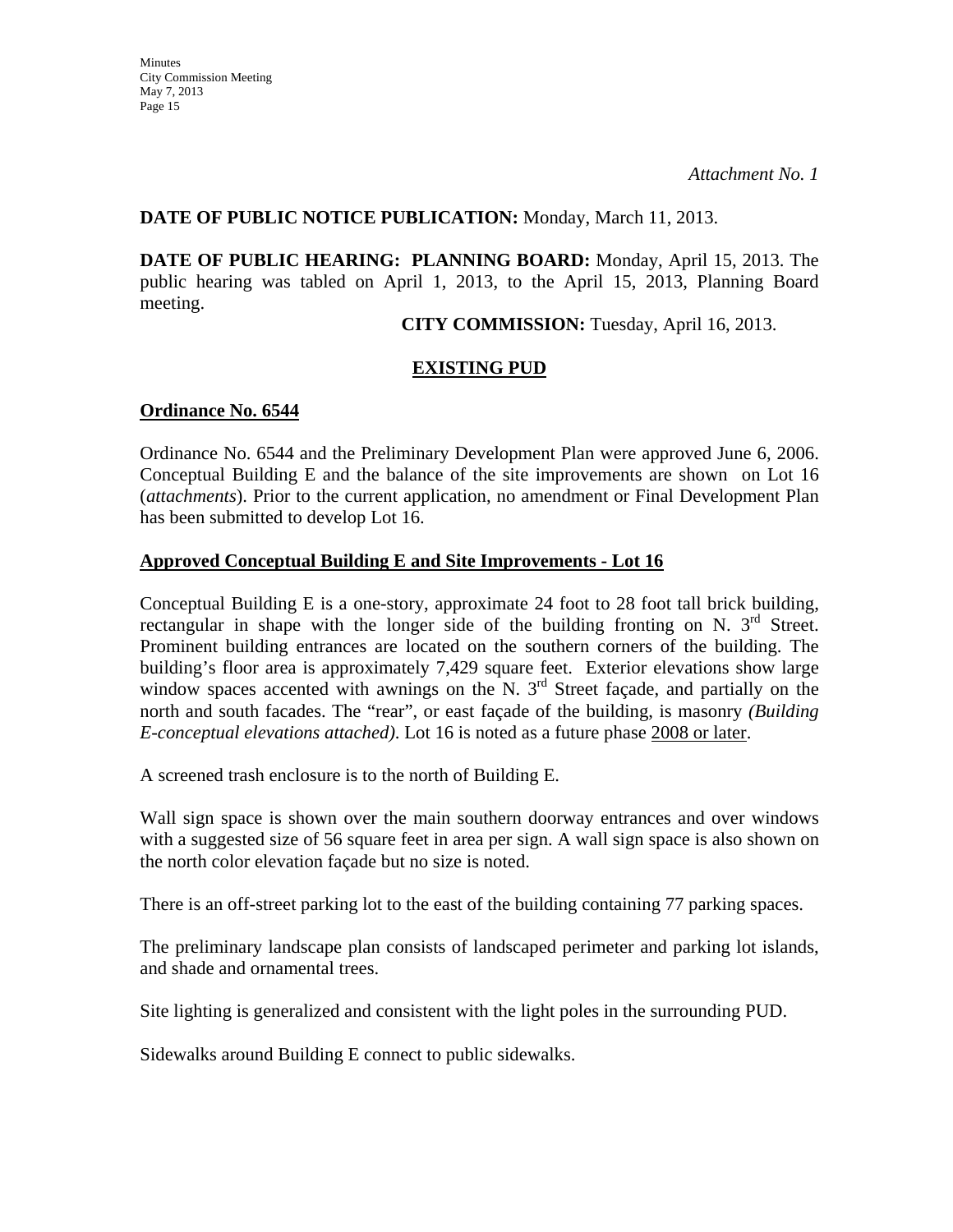### **DATE OF PUBLIC NOTICE PUBLICATION:** Monday, March 11, 2013.

**DATE OF PUBLIC HEARING: PLANNING BOARD:** Monday, April 15, 2013. The public hearing was tabled on April 1, 2013, to the April 15, 2013, Planning Board meeting.

**CITY COMMISSION:** Tuesday, April 16, 2013.

# **EXISTING PUD**

### **Ordinance No. 6544**

Ordinance No. 6544 and the Preliminary Development Plan were approved June 6, 2006. Conceptual Building E and the balance of the site improvements are shown on Lot 16 (*attachments*). Prior to the current application, no amendment or Final Development Plan has been submitted to develop Lot 16.

#### **Approved Conceptual Building E and Site Improvements - Lot 16**

Conceptual Building E is a one-story, approximate 24 foot to 28 foot tall brick building, rectangular in shape with the longer side of the building fronting on N.  $3<sup>rd</sup>$  Street. Prominent building entrances are located on the southern corners of the building. The building's floor area is approximately 7,429 square feet. Exterior elevations show large window spaces accented with awnings on the N.  $3<sup>rd</sup>$  Street façade, and partially on the north and south facades. The "rear", or east façade of the building, is masonry *(Building E-conceptual elevations attached)*. Lot 16 is noted as a future phase 2008 or later.

A screened trash enclosure is to the north of Building E.

Wall sign space is shown over the main southern doorway entrances and over windows with a suggested size of 56 square feet in area per sign. A wall sign space is also shown on the north color elevation façade but no size is noted.

There is an off-street parking lot to the east of the building containing 77 parking spaces.

The preliminary landscape plan consists of landscaped perimeter and parking lot islands, and shade and ornamental trees.

Site lighting is generalized and consistent with the light poles in the surrounding PUD.

Sidewalks around Building E connect to public sidewalks.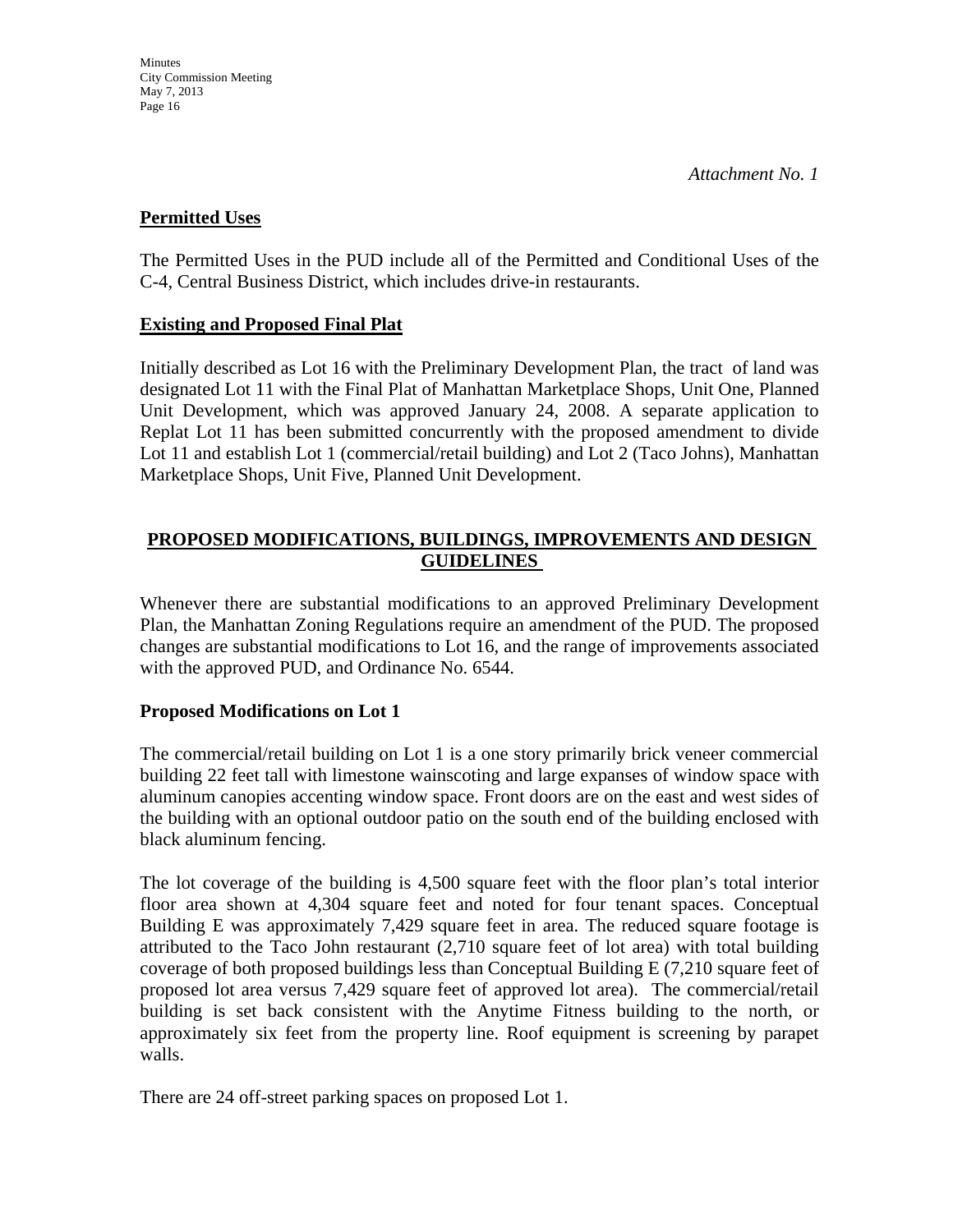# **Permitted Uses**

The Permitted Uses in the PUD include all of the Permitted and Conditional Uses of the C-4, Central Business District, which includes drive-in restaurants.

# **Existing and Proposed Final Plat**

Initially described as Lot 16 with the Preliminary Development Plan, the tract of land was designated Lot 11 with the Final Plat of Manhattan Marketplace Shops, Unit One, Planned Unit Development, which was approved January 24, 2008. A separate application to Replat Lot 11 has been submitted concurrently with the proposed amendment to divide Lot 11 and establish Lot 1 (commercial/retail building) and Lot 2 (Taco Johns), Manhattan Marketplace Shops, Unit Five, Planned Unit Development.

# **PROPOSED MODIFICATIONS, BUILDINGS, IMPROVEMENTS AND DESIGN GUIDELINES**

Whenever there are substantial modifications to an approved Preliminary Development Plan, the Manhattan Zoning Regulations require an amendment of the PUD. The proposed changes are substantial modifications to Lot 16, and the range of improvements associated with the approved PUD, and Ordinance No. 6544.

# **Proposed Modifications on Lot 1**

The commercial/retail building on Lot 1 is a one story primarily brick veneer commercial building 22 feet tall with limestone wainscoting and large expanses of window space with aluminum canopies accenting window space. Front doors are on the east and west sides of the building with an optional outdoor patio on the south end of the building enclosed with black aluminum fencing.

The lot coverage of the building is 4,500 square feet with the floor plan's total interior floor area shown at 4,304 square feet and noted for four tenant spaces. Conceptual Building E was approximately 7,429 square feet in area. The reduced square footage is attributed to the Taco John restaurant (2,710 square feet of lot area) with total building coverage of both proposed buildings less than Conceptual Building E (7,210 square feet of proposed lot area versus 7,429 square feet of approved lot area). The commercial/retail building is set back consistent with the Anytime Fitness building to the north, or approximately six feet from the property line. Roof equipment is screening by parapet walls.

There are 24 off-street parking spaces on proposed Lot 1.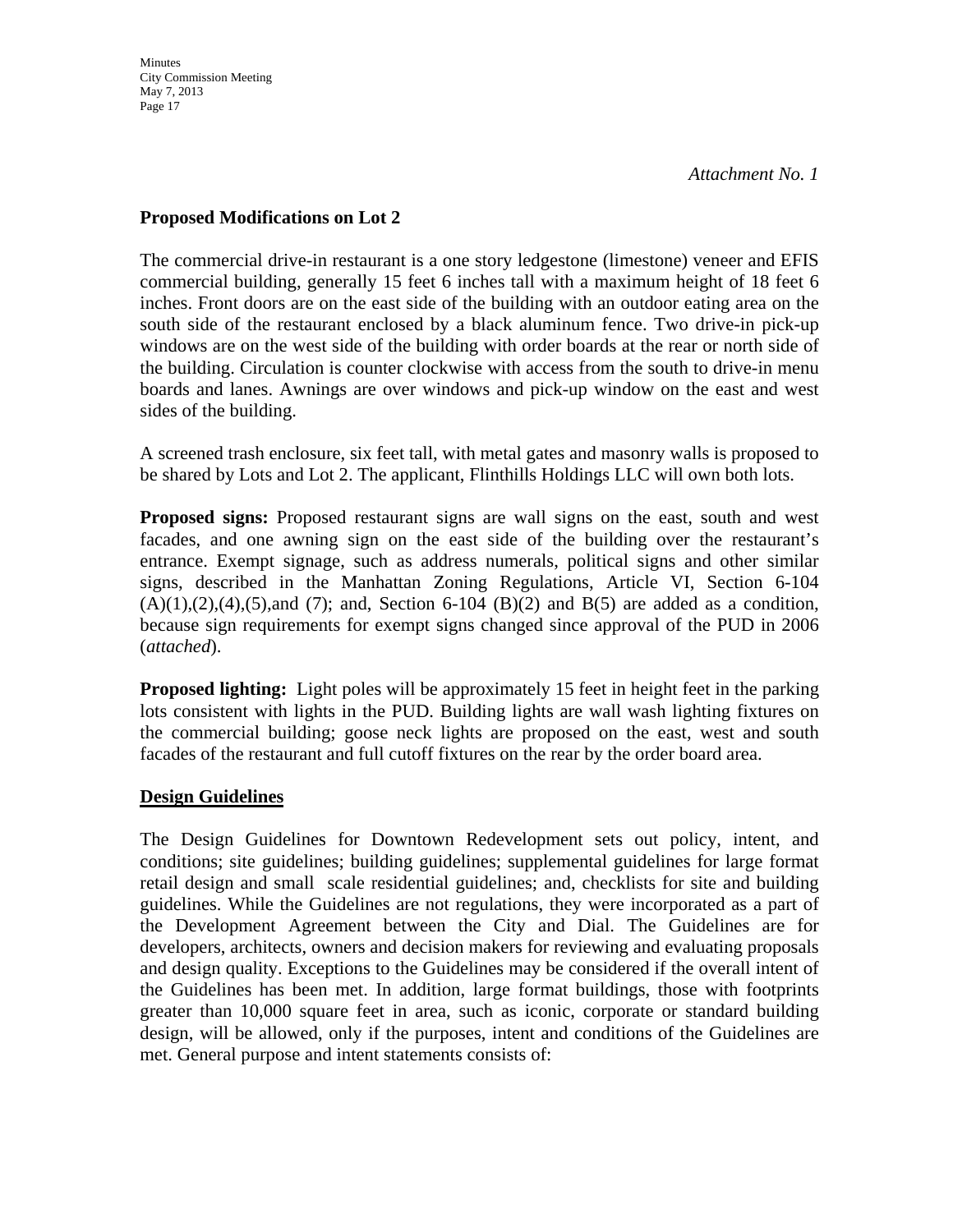### **Proposed Modifications on Lot 2**

The commercial drive-in restaurant is a one story ledgestone (limestone) veneer and EFIS commercial building, generally 15 feet 6 inches tall with a maximum height of 18 feet 6 inches. Front doors are on the east side of the building with an outdoor eating area on the south side of the restaurant enclosed by a black aluminum fence. Two drive-in pick-up windows are on the west side of the building with order boards at the rear or north side of the building. Circulation is counter clockwise with access from the south to drive-in menu boards and lanes. Awnings are over windows and pick-up window on the east and west sides of the building.

A screened trash enclosure, six feet tall, with metal gates and masonry walls is proposed to be shared by Lots and Lot 2. The applicant, Flinthills Holdings LLC will own both lots.

**Proposed signs:** Proposed restaurant signs are wall signs on the east, south and west facades, and one awning sign on the east side of the building over the restaurant's entrance. Exempt signage, such as address numerals, political signs and other similar signs, described in the Manhattan Zoning Regulations, Article VI, Section 6-104  $(A)(1),(2),(4),(5)$ ,and (7); and, Section 6-104 (B)(2) and B(5) are added as a condition, because sign requirements for exempt signs changed since approval of the PUD in 2006 (*attached*).

**Proposed lighting:** Light poles will be approximately 15 feet in height feet in the parking lots consistent with lights in the PUD. Building lights are wall wash lighting fixtures on the commercial building; goose neck lights are proposed on the east, west and south facades of the restaurant and full cutoff fixtures on the rear by the order board area.

# **Design Guidelines**

The Design Guidelines for Downtown Redevelopment sets out policy, intent, and conditions; site guidelines; building guidelines; supplemental guidelines for large format retail design and small scale residential guidelines; and, checklists for site and building guidelines. While the Guidelines are not regulations, they were incorporated as a part of the Development Agreement between the City and Dial. The Guidelines are for developers, architects, owners and decision makers for reviewing and evaluating proposals and design quality. Exceptions to the Guidelines may be considered if the overall intent of the Guidelines has been met. In addition, large format buildings, those with footprints greater than 10,000 square feet in area, such as iconic, corporate or standard building design, will be allowed, only if the purposes, intent and conditions of the Guidelines are met. General purpose and intent statements consists of: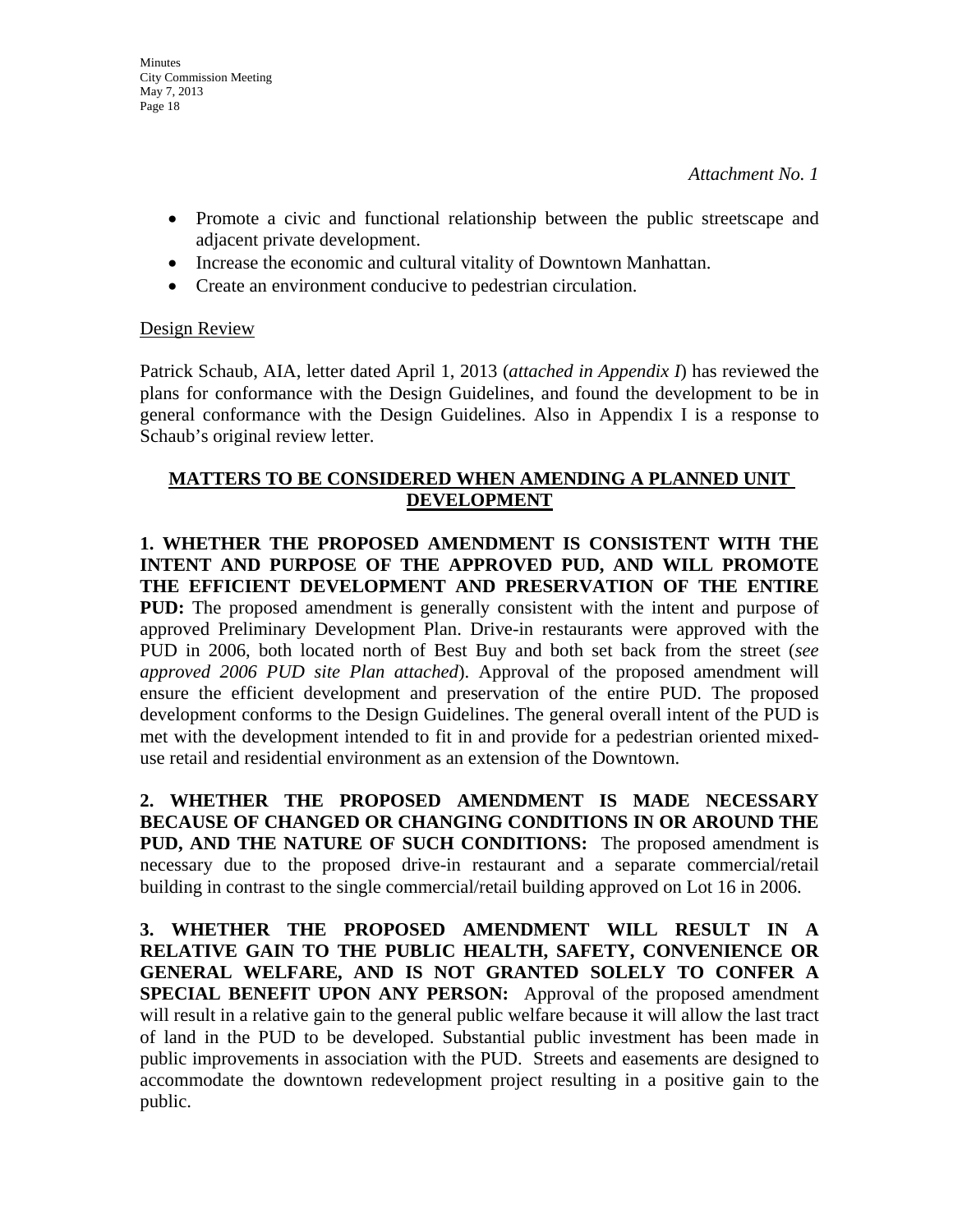- Promote a civic and functional relationship between the public streetscape and adjacent private development.
- Increase the economic and cultural vitality of Downtown Manhattan.
- Create an environment conducive to pedestrian circulation.

# Design Review

Patrick Schaub, AIA, letter dated April 1, 2013 (*attached in Appendix I*) has reviewed the plans for conformance with the Design Guidelines, and found the development to be in general conformance with the Design Guidelines. Also in Appendix I is a response to Schaub's original review letter.

# **MATTERS TO BE CONSIDERED WHEN AMENDING A PLANNED UNIT DEVELOPMENT**

**1. WHETHER THE PROPOSED AMENDMENT IS CONSISTENT WITH THE INTENT AND PURPOSE OF THE APPROVED PUD, AND WILL PROMOTE THE EFFICIENT DEVELOPMENT AND PRESERVATION OF THE ENTIRE PUD:** The proposed amendment is generally consistent with the intent and purpose of approved Preliminary Development Plan. Drive-in restaurants were approved with the PUD in 2006, both located north of Best Buy and both set back from the street (*see approved 2006 PUD site Plan attached*). Approval of the proposed amendment will ensure the efficient development and preservation of the entire PUD. The proposed development conforms to the Design Guidelines. The general overall intent of the PUD is met with the development intended to fit in and provide for a pedestrian oriented mixeduse retail and residential environment as an extension of the Downtown.

**2. WHETHER THE PROPOSED AMENDMENT IS MADE NECESSARY BECAUSE OF CHANGED OR CHANGING CONDITIONS IN OR AROUND THE PUD, AND THE NATURE OF SUCH CONDITIONS:** The proposed amendment is necessary due to the proposed drive-in restaurant and a separate commercial/retail building in contrast to the single commercial/retail building approved on Lot 16 in 2006.

**3. WHETHER THE PROPOSED AMENDMENT WILL RESULT IN A RELATIVE GAIN TO THE PUBLIC HEALTH, SAFETY, CONVENIENCE OR GENERAL WELFARE, AND IS NOT GRANTED SOLELY TO CONFER A SPECIAL BENEFIT UPON ANY PERSON:** Approval of the proposed amendment will result in a relative gain to the general public welfare because it will allow the last tract of land in the PUD to be developed. Substantial public investment has been made in public improvements in association with the PUD. Streets and easements are designed to accommodate the downtown redevelopment project resulting in a positive gain to the public.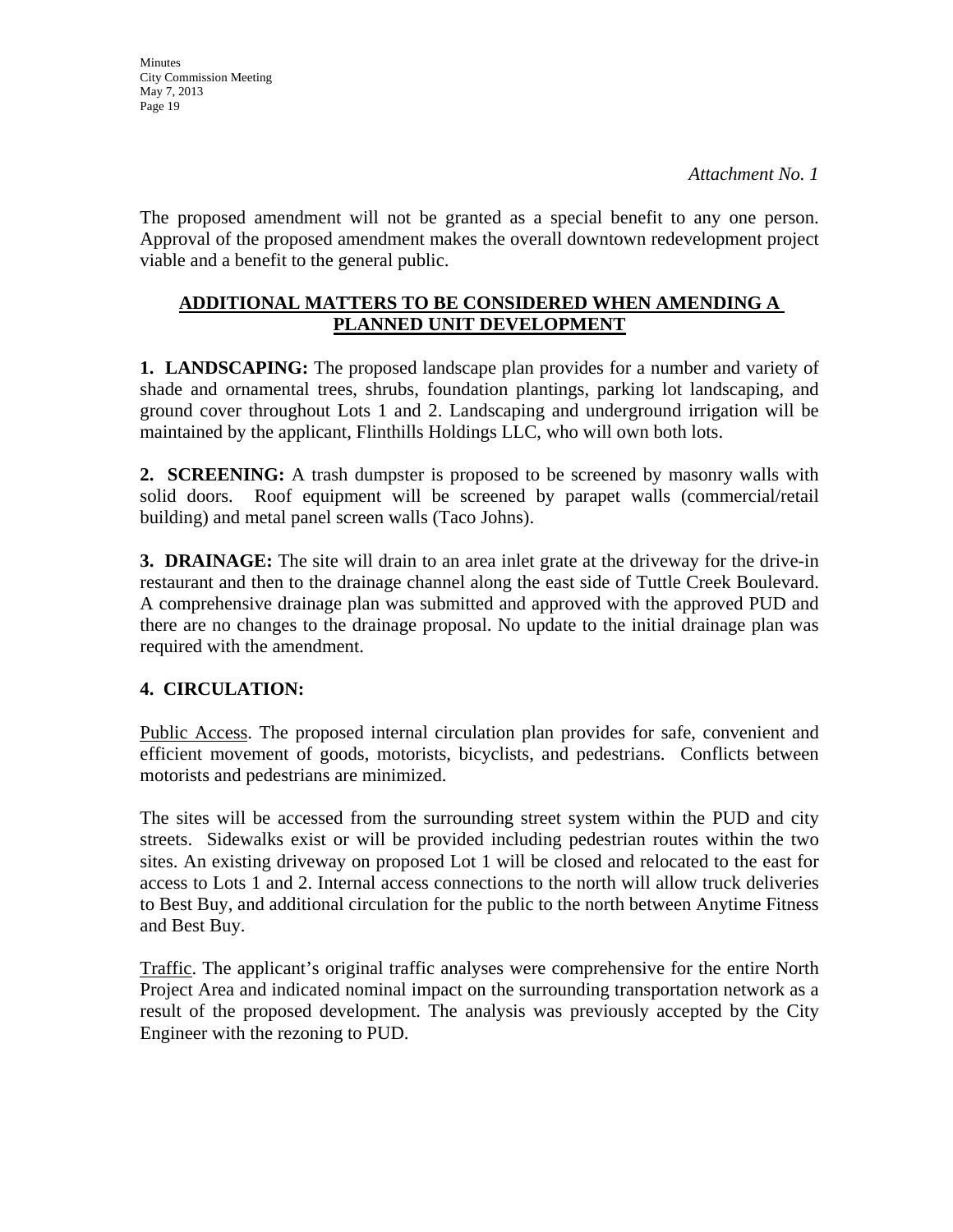**Minutes** City Commission Meeting May 7, 2013 Page 19

The proposed amendment will not be granted as a special benefit to any one person. Approval of the proposed amendment makes the overall downtown redevelopment project viable and a benefit to the general public.

# **ADDITIONAL MATTERS TO BE CONSIDERED WHEN AMENDING A PLANNED UNIT DEVELOPMENT**

**1. LANDSCAPING:** The proposed landscape plan provides for a number and variety of shade and ornamental trees, shrubs, foundation plantings, parking lot landscaping, and ground cover throughout Lots 1 and 2. Landscaping and underground irrigation will be maintained by the applicant, Flinthills Holdings LLC, who will own both lots.

**2. SCREENING:** A trash dumpster is proposed to be screened by masonry walls with solid doors. Roof equipment will be screened by parapet walls (commercial/retail building) and metal panel screen walls (Taco Johns).

**3. DRAINAGE:** The site will drain to an area inlet grate at the driveway for the drive-in restaurant and then to the drainage channel along the east side of Tuttle Creek Boulevard. A comprehensive drainage plan was submitted and approved with the approved PUD and there are no changes to the drainage proposal. No update to the initial drainage plan was required with the amendment.

# **4. CIRCULATION:**

Public Access. The proposed internal circulation plan provides for safe, convenient and efficient movement of goods, motorists, bicyclists, and pedestrians. Conflicts between motorists and pedestrians are minimized.

The sites will be accessed from the surrounding street system within the PUD and city streets. Sidewalks exist or will be provided including pedestrian routes within the two sites. An existing driveway on proposed Lot 1 will be closed and relocated to the east for access to Lots 1 and 2. Internal access connections to the north will allow truck deliveries to Best Buy, and additional circulation for the public to the north between Anytime Fitness and Best Buy.

Traffic. The applicant's original traffic analyses were comprehensive for the entire North Project Area and indicated nominal impact on the surrounding transportation network as a result of the proposed development. The analysis was previously accepted by the City Engineer with the rezoning to PUD.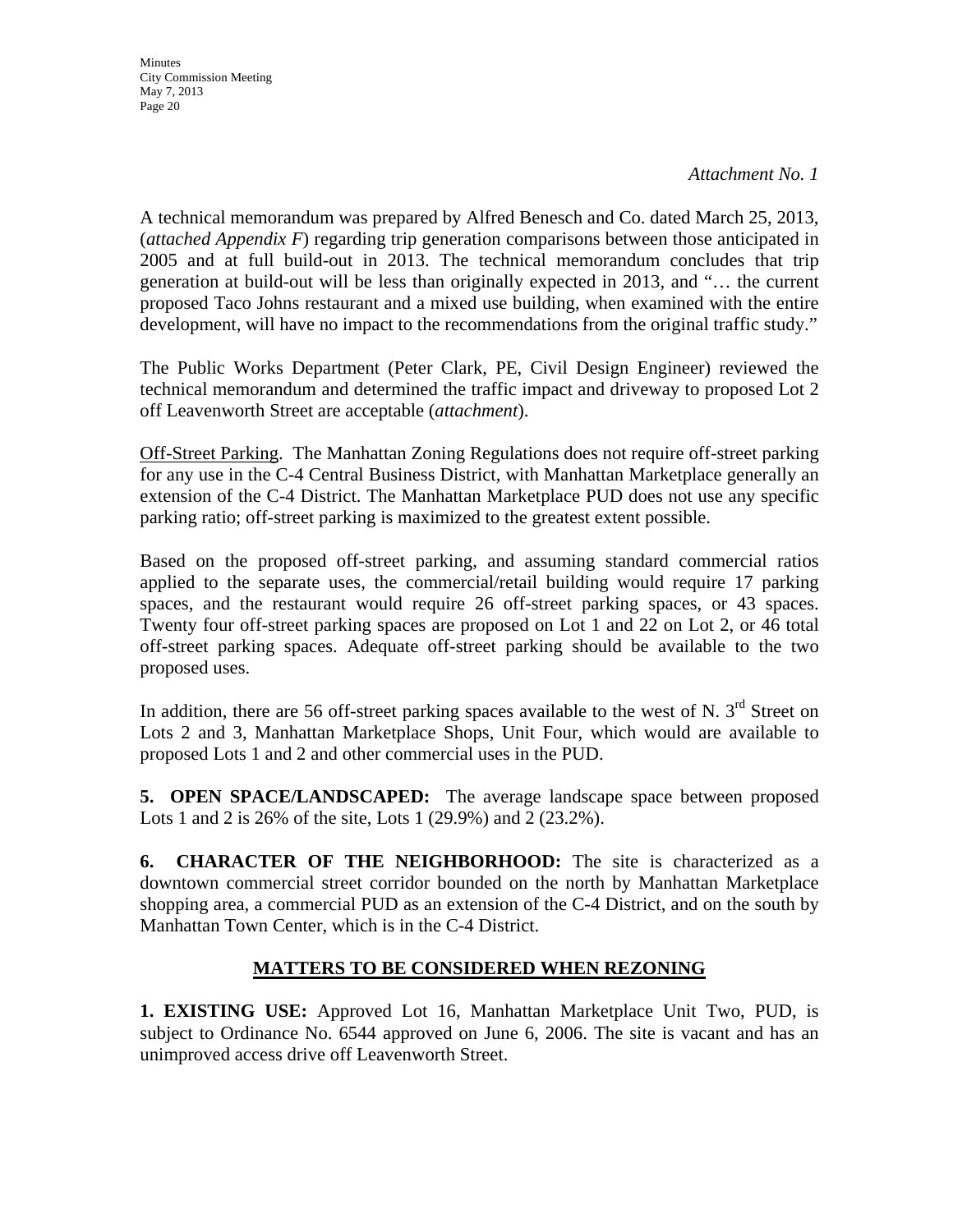*Attachment No. 1* 

A technical memorandum was prepared by Alfred Benesch and Co. dated March 25, 2013, (*attached Appendix F*) regarding trip generation comparisons between those anticipated in 2005 and at full build-out in 2013. The technical memorandum concludes that trip generation at build-out will be less than originally expected in 2013, and "… the current proposed Taco Johns restaurant and a mixed use building, when examined with the entire development, will have no impact to the recommendations from the original traffic study."

The Public Works Department (Peter Clark, PE, Civil Design Engineer) reviewed the technical memorandum and determined the traffic impact and driveway to proposed Lot 2 off Leavenworth Street are acceptable (*attachment*).

Off-Street Parking. The Manhattan Zoning Regulations does not require off-street parking for any use in the C-4 Central Business District, with Manhattan Marketplace generally an extension of the C-4 District. The Manhattan Marketplace PUD does not use any specific parking ratio; off-street parking is maximized to the greatest extent possible.

Based on the proposed off-street parking, and assuming standard commercial ratios applied to the separate uses, the commercial/retail building would require 17 parking spaces, and the restaurant would require 26 off-street parking spaces, or 43 spaces. Twenty four off-street parking spaces are proposed on Lot 1 and 22 on Lot 2, or 46 total off-street parking spaces. Adequate off-street parking should be available to the two proposed uses.

In addition, there are 56 off-street parking spaces available to the west of N.  $3<sup>rd</sup>$  Street on Lots 2 and 3, Manhattan Marketplace Shops, Unit Four, which would are available to proposed Lots 1 and 2 and other commercial uses in the PUD.

**5. OPEN SPACE/LANDSCAPED:** The average landscape space between proposed Lots 1 and 2 is 26% of the site, Lots 1 (29.9%) and 2 (23.2%).

**6. CHARACTER OF THE NEIGHBORHOOD:** The site is characterized as a downtown commercial street corridor bounded on the north by Manhattan Marketplace shopping area, a commercial PUD as an extension of the C-4 District, and on the south by Manhattan Town Center, which is in the C-4 District.

# **MATTERS TO BE CONSIDERED WHEN REZONING**

**1. EXISTING USE:** Approved Lot 16, Manhattan Marketplace Unit Two, PUD, is subject to Ordinance No. 6544 approved on June 6, 2006. The site is vacant and has an unimproved access drive off Leavenworth Street.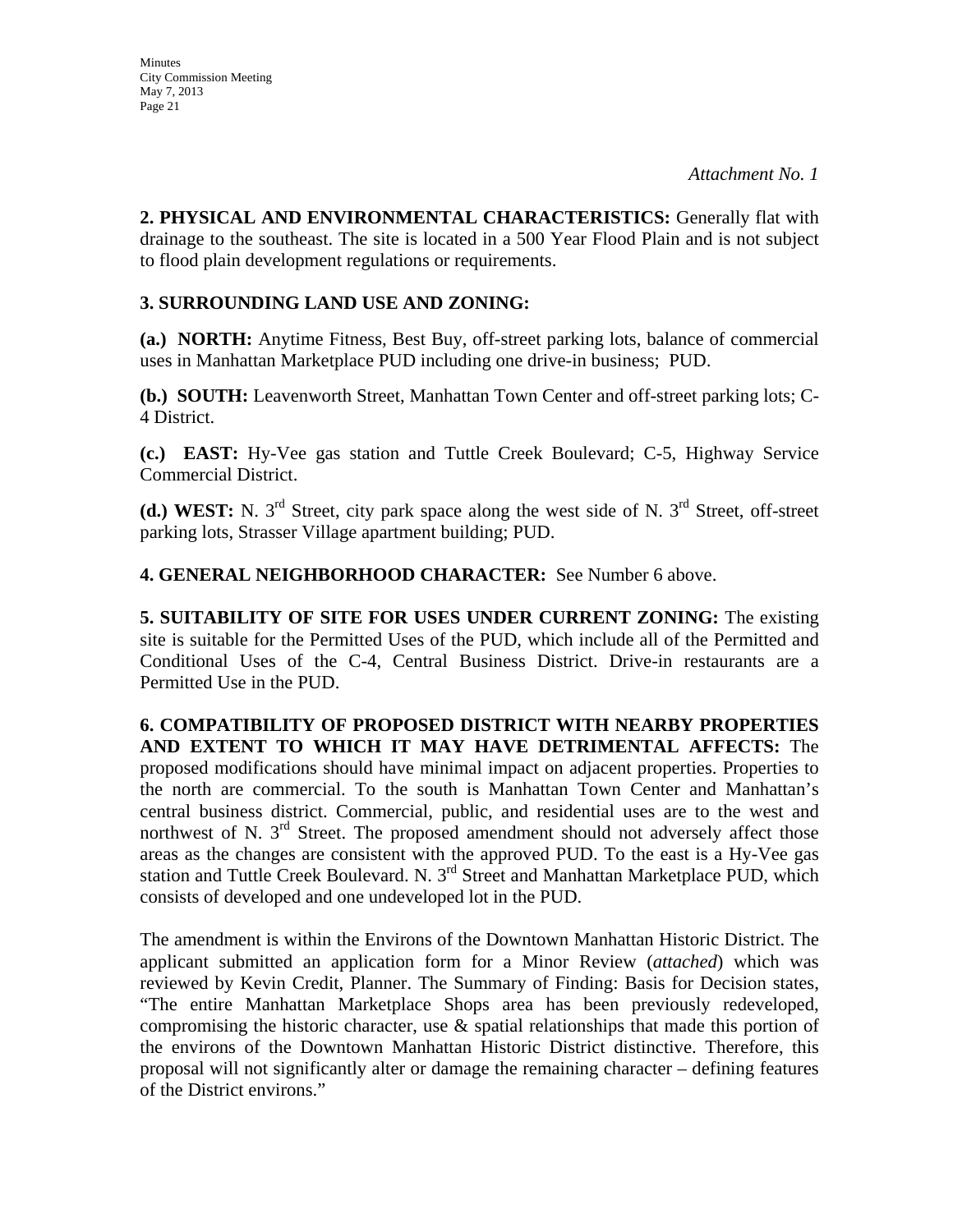**2. PHYSICAL AND ENVIRONMENTAL CHARACTERISTICS:** Generally flat with drainage to the southeast. The site is located in a 500 Year Flood Plain and is not subject to flood plain development regulations or requirements.

# **3. SURROUNDING LAND USE AND ZONING:**

**(a.) NORTH:** Anytime Fitness, Best Buy, off-street parking lots, balance of commercial uses in Manhattan Marketplace PUD including one drive-in business; PUD.

**(b.) SOUTH:** Leavenworth Street, Manhattan Town Center and off-street parking lots; C-4 District.

**(c.) EAST:** Hy-Vee gas station and Tuttle Creek Boulevard; C-5, Highway Service Commercial District.

(d.) WEST: N. 3<sup>rd</sup> Street, city park space along the west side of N. 3<sup>rd</sup> Street, off-street parking lots, Strasser Village apartment building; PUD.

**4. GENERAL NEIGHBORHOOD CHARACTER:** See Number 6 above.

**5. SUITABILITY OF SITE FOR USES UNDER CURRENT ZONING:** The existing site is suitable for the Permitted Uses of the PUD, which include all of the Permitted and Conditional Uses of the C-4, Central Business District. Drive-in restaurants are a Permitted Use in the PUD.

**6. COMPATIBILITY OF PROPOSED DISTRICT WITH NEARBY PROPERTIES AND EXTENT TO WHICH IT MAY HAVE DETRIMENTAL AFFECTS:** The proposed modifications should have minimal impact on adjacent properties. Properties to the north are commercial. To the south is Manhattan Town Center and Manhattan's central business district. Commercial, public, and residential uses are to the west and northwest of N.  $3<sup>rd</sup>$  Street. The proposed amendment should not adversely affect those areas as the changes are consistent with the approved PUD. To the east is a Hy-Vee gas station and Tuttle Creek Boulevard. N. 3<sup>rd</sup> Street and Manhattan Marketplace PUD, which consists of developed and one undeveloped lot in the PUD.

The amendment is within the Environs of the Downtown Manhattan Historic District. The applicant submitted an application form for a Minor Review (*attached*) which was reviewed by Kevin Credit, Planner. The Summary of Finding: Basis for Decision states, "The entire Manhattan Marketplace Shops area has been previously redeveloped, compromising the historic character, use & spatial relationships that made this portion of the environs of the Downtown Manhattan Historic District distinctive. Therefore, this proposal will not significantly alter or damage the remaining character – defining features of the District environs."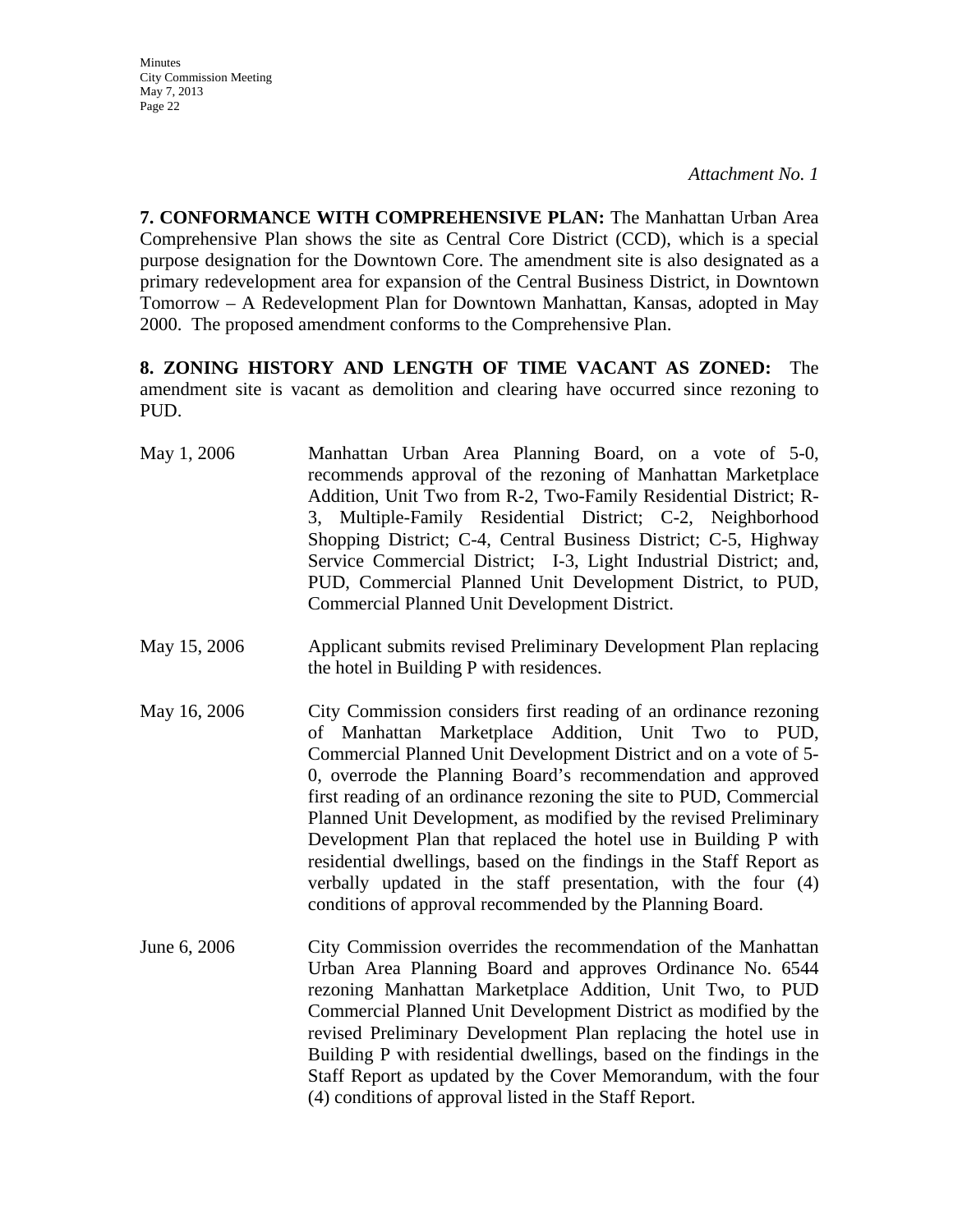*Attachment No. 1* 

**7. CONFORMANCE WITH COMPREHENSIVE PLAN:** The Manhattan Urban Area Comprehensive Plan shows the site as Central Core District (CCD), which is a special purpose designation for the Downtown Core. The amendment site is also designated as a primary redevelopment area for expansion of the Central Business District, in Downtown Tomorrow – A Redevelopment Plan for Downtown Manhattan, Kansas, adopted in May 2000. The proposed amendment conforms to the Comprehensive Plan.

**8. ZONING HISTORY AND LENGTH OF TIME VACANT AS ZONED:** The amendment site is vacant as demolition and clearing have occurred since rezoning to PUD.

- May 1, 2006 Manhattan Urban Area Planning Board, on a vote of 5-0, recommends approval of the rezoning of Manhattan Marketplace Addition, Unit Two from R-2, Two-Family Residential District; R-3, Multiple-Family Residential District; C-2, Neighborhood Shopping District; C-4, Central Business District; C-5, Highway Service Commercial District; I-3, Light Industrial District; and, PUD, Commercial Planned Unit Development District, to PUD, Commercial Planned Unit Development District.
- May 15, 2006 Applicant submits revised Preliminary Development Plan replacing the hotel in Building P with residences.
- May 16, 2006 City Commission considers first reading of an ordinance rezoning of Manhattan Marketplace Addition, Unit Two to PUD, Commercial Planned Unit Development District and on a vote of 5- 0, overrode the Planning Board's recommendation and approved first reading of an ordinance rezoning the site to PUD, Commercial Planned Unit Development, as modified by the revised Preliminary Development Plan that replaced the hotel use in Building P with residential dwellings, based on the findings in the Staff Report as verbally updated in the staff presentation, with the four (4) conditions of approval recommended by the Planning Board.
- June 6, 2006 City Commission overrides the recommendation of the Manhattan Urban Area Planning Board and approves Ordinance No. 6544 rezoning Manhattan Marketplace Addition, Unit Two, to PUD Commercial Planned Unit Development District as modified by the revised Preliminary Development Plan replacing the hotel use in Building P with residential dwellings, based on the findings in the Staff Report as updated by the Cover Memorandum, with the four (4) conditions of approval listed in the Staff Report.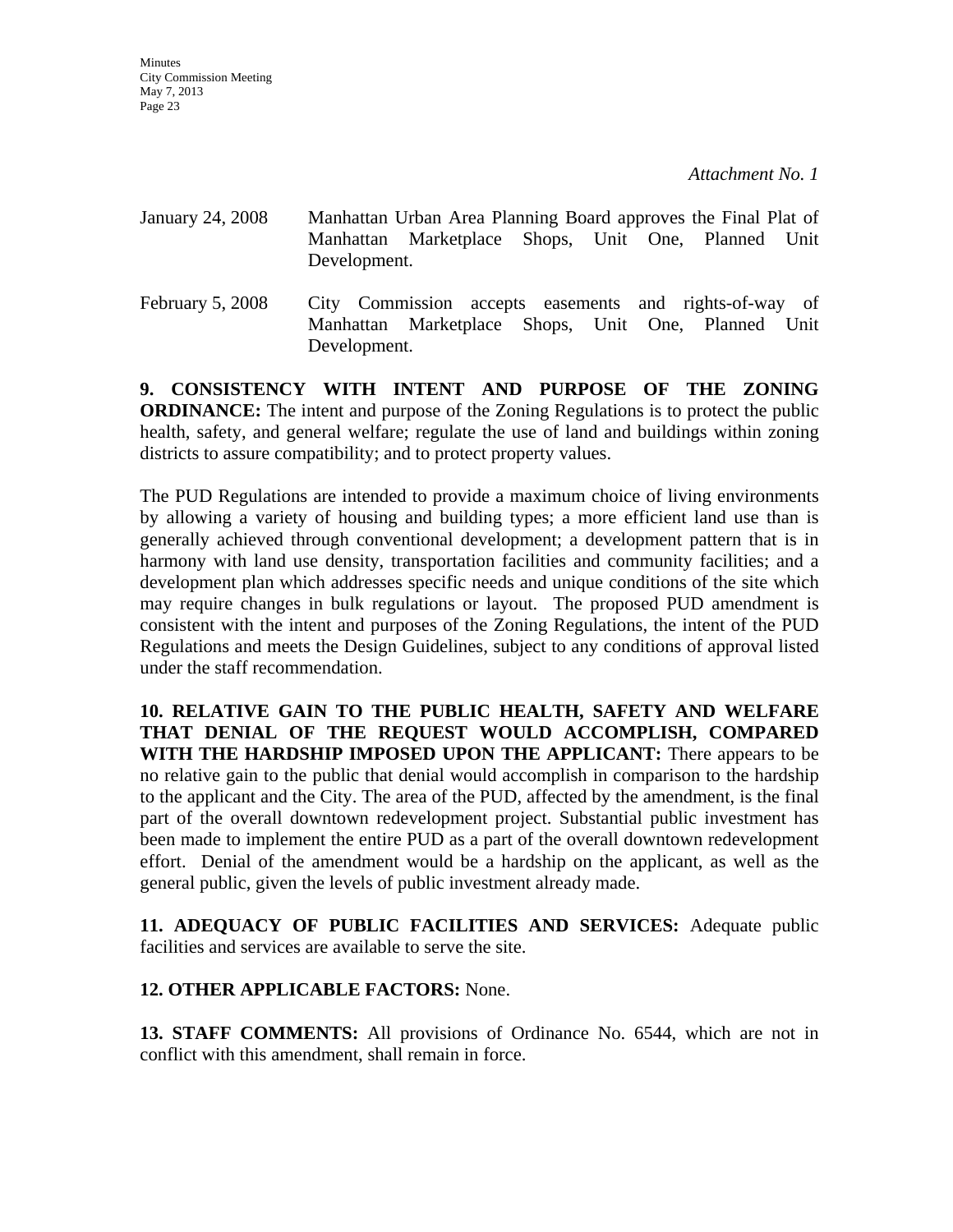- January 24, 2008 Manhattan Urban Area Planning Board approves the Final Plat of Manhattan Marketplace Shops, Unit One, Planned Unit Development. February 5, 2008 City Commission accepts easements and rights-of-way of
- Manhattan Marketplace Shops, Unit One, Planned Unit Development.

**9. CONSISTENCY WITH INTENT AND PURPOSE OF THE ZONING ORDINANCE:** The intent and purpose of the Zoning Regulations is to protect the public health, safety, and general welfare; regulate the use of land and buildings within zoning districts to assure compatibility; and to protect property values.

The PUD Regulations are intended to provide a maximum choice of living environments by allowing a variety of housing and building types; a more efficient land use than is generally achieved through conventional development; a development pattern that is in harmony with land use density, transportation facilities and community facilities; and a development plan which addresses specific needs and unique conditions of the site which may require changes in bulk regulations or layout. The proposed PUD amendment is consistent with the intent and purposes of the Zoning Regulations, the intent of the PUD Regulations and meets the Design Guidelines, subject to any conditions of approval listed under the staff recommendation.

**10. RELATIVE GAIN TO THE PUBLIC HEALTH, SAFETY AND WELFARE THAT DENIAL OF THE REQUEST WOULD ACCOMPLISH, COMPARED WITH THE HARDSHIP IMPOSED UPON THE APPLICANT:** There appears to be no relative gain to the public that denial would accomplish in comparison to the hardship to the applicant and the City. The area of the PUD, affected by the amendment, is the final part of the overall downtown redevelopment project. Substantial public investment has been made to implement the entire PUD as a part of the overall downtown redevelopment effort. Denial of the amendment would be a hardship on the applicant, as well as the general public, given the levels of public investment already made.

**11. ADEQUACY OF PUBLIC FACILITIES AND SERVICES:** Adequate public facilities and services are available to serve the site.

# **12. OTHER APPLICABLE FACTORS:** None.

**13. STAFF COMMENTS:** All provisions of Ordinance No. 6544, which are not in conflict with this amendment, shall remain in force.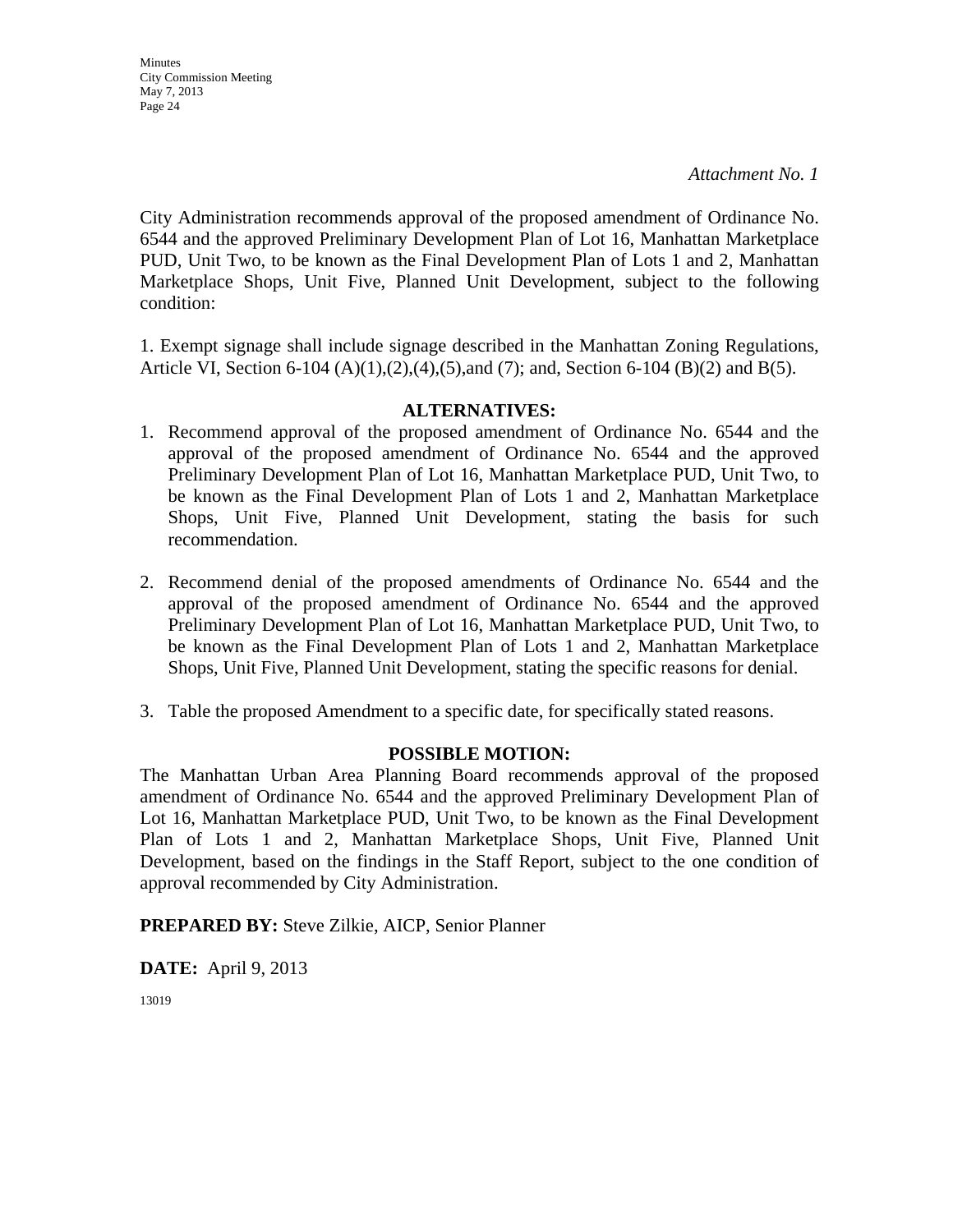City Administration recommends approval of the proposed amendment of Ordinance No. 6544 and the approved Preliminary Development Plan of Lot 16, Manhattan Marketplace PUD, Unit Two, to be known as the Final Development Plan of Lots 1 and 2, Manhattan Marketplace Shops, Unit Five, Planned Unit Development, subject to the following condition:

1. Exempt signage shall include signage described in the Manhattan Zoning Regulations, Article VI, Section 6-104 (A)(1),(2),(4),(5),and (7); and, Section 6-104 (B)(2) and B(5).

### **ALTERNATIVES:**

- 1. Recommend approval of the proposed amendment of Ordinance No. 6544 and the approval of the proposed amendment of Ordinance No. 6544 and the approved Preliminary Development Plan of Lot 16, Manhattan Marketplace PUD, Unit Two, to be known as the Final Development Plan of Lots 1 and 2, Manhattan Marketplace Shops, Unit Five, Planned Unit Development, stating the basis for such recommendation.
- 2. Recommend denial of the proposed amendments of Ordinance No. 6544 and the approval of the proposed amendment of Ordinance No. 6544 and the approved Preliminary Development Plan of Lot 16, Manhattan Marketplace PUD, Unit Two, to be known as the Final Development Plan of Lots 1 and 2, Manhattan Marketplace Shops, Unit Five, Planned Unit Development, stating the specific reasons for denial.
- 3. Table the proposed Amendment to a specific date, for specifically stated reasons.

#### **POSSIBLE MOTION:**

The Manhattan Urban Area Planning Board recommends approval of the proposed amendment of Ordinance No. 6544 and the approved Preliminary Development Plan of Lot 16, Manhattan Marketplace PUD, Unit Two, to be known as the Final Development Plan of Lots 1 and 2, Manhattan Marketplace Shops, Unit Five, Planned Unit Development, based on the findings in the Staff Report, subject to the one condition of approval recommended by City Administration.

**PREPARED BY:** Steve Zilkie, AICP, Senior Planner

**DATE:** April 9, 2013

13019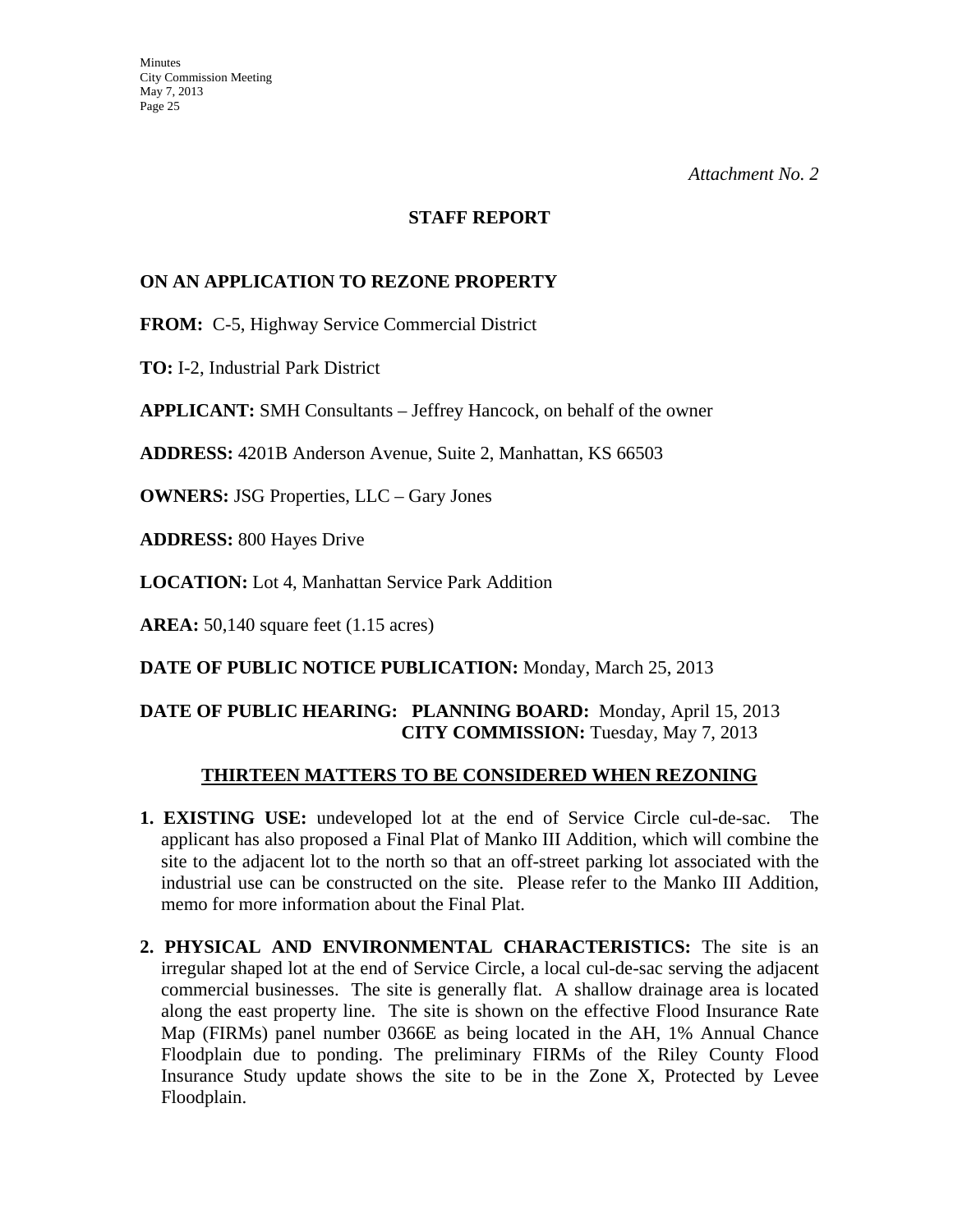#### **STAFF REPORT**

### **ON AN APPLICATION TO REZONE PROPERTY**

**FROM:** C-5, Highway Service Commercial District

**TO:** I-2, Industrial Park District

**APPLICANT:** SMH Consultants – Jeffrey Hancock, on behalf of the owner

**ADDRESS:** 4201B Anderson Avenue, Suite 2, Manhattan, KS 66503

**OWNERS:** JSG Properties, LLC – Gary Jones

**ADDRESS:** 800 Hayes Drive

**LOCATION:** Lot 4, Manhattan Service Park Addition

**AREA:** 50,140 square feet (1.15 acres)

**DATE OF PUBLIC NOTICE PUBLICATION:** Monday, March 25, 2013

# **DATE OF PUBLIC HEARING: PLANNING BOARD:** Monday, April 15, 2013 **CITY COMMISSION:** Tuesday, May 7, 2013

#### **THIRTEEN MATTERS TO BE CONSIDERED WHEN REZONING**

- **1. EXISTING USE:** undeveloped lot at the end of Service Circle cul-de-sac. The applicant has also proposed a Final Plat of Manko III Addition, which will combine the site to the adjacent lot to the north so that an off-street parking lot associated with the industrial use can be constructed on the site. Please refer to the Manko III Addition, memo for more information about the Final Plat.
- **2. PHYSICAL AND ENVIRONMENTAL CHARACTERISTICS:** The site is an irregular shaped lot at the end of Service Circle, a local cul-de-sac serving the adjacent commercial businesses. The site is generally flat. A shallow drainage area is located along the east property line. The site is shown on the effective Flood Insurance Rate Map (FIRMs) panel number 0366E as being located in the AH, 1% Annual Chance Floodplain due to ponding. The preliminary FIRMs of the Riley County Flood Insurance Study update shows the site to be in the Zone X, Protected by Levee Floodplain.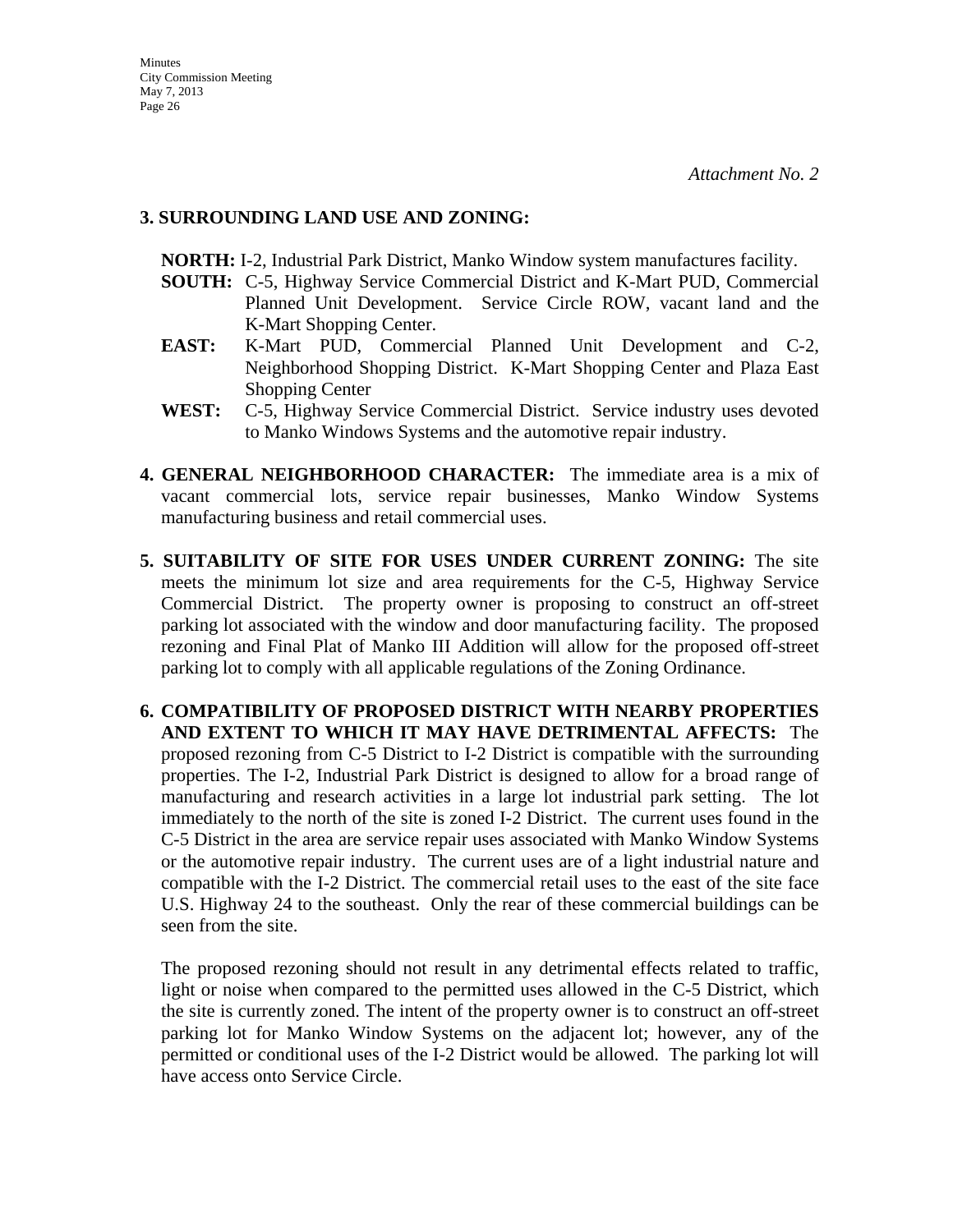### **3. SURROUNDING LAND USE AND ZONING:**

 **NORTH:** I-2, Industrial Park District, Manko Window system manufactures facility.

- **SOUTH:** C-5, Highway Service Commercial District and K-Mart PUD, Commercial Planned Unit Development. Service Circle ROW, vacant land and the K-Mart Shopping Center.
- **EAST:** K-Mart PUD, Commercial Planned Unit Development and C-2, Neighborhood Shopping District. K-Mart Shopping Center and Plaza East Shopping Center
- **WEST:** C-5, Highway Service Commercial District. Service industry uses devoted to Manko Windows Systems and the automotive repair industry.
- **4. GENERAL NEIGHBORHOOD CHARACTER:** The immediate area is a mix of vacant commercial lots, service repair businesses, Manko Window Systems manufacturing business and retail commercial uses.
- **5. SUITABILITY OF SITE FOR USES UNDER CURRENT ZONING:** The site meets the minimum lot size and area requirements for the C-5, Highway Service Commercial District. The property owner is proposing to construct an off-street parking lot associated with the window and door manufacturing facility. The proposed rezoning and Final Plat of Manko III Addition will allow for the proposed off-street parking lot to comply with all applicable regulations of the Zoning Ordinance.
- **6. COMPATIBILITY OF PROPOSED DISTRICT WITH NEARBY PROPERTIES AND EXTENT TO WHICH IT MAY HAVE DETRIMENTAL AFFECTS:** The proposed rezoning from C-5 District to I-2 District is compatible with the surrounding properties. The I-2, Industrial Park District is designed to allow for a broad range of manufacturing and research activities in a large lot industrial park setting. The lot immediately to the north of the site is zoned I-2 District. The current uses found in the C-5 District in the area are service repair uses associated with Manko Window Systems or the automotive repair industry. The current uses are of a light industrial nature and compatible with the I-2 District. The commercial retail uses to the east of the site face U.S. Highway 24 to the southeast. Only the rear of these commercial buildings can be seen from the site.

 The proposed rezoning should not result in any detrimental effects related to traffic, light or noise when compared to the permitted uses allowed in the C-5 District, which the site is currently zoned. The intent of the property owner is to construct an off-street parking lot for Manko Window Systems on the adjacent lot; however, any of the permitted or conditional uses of the I-2 District would be allowed. The parking lot will have access onto Service Circle.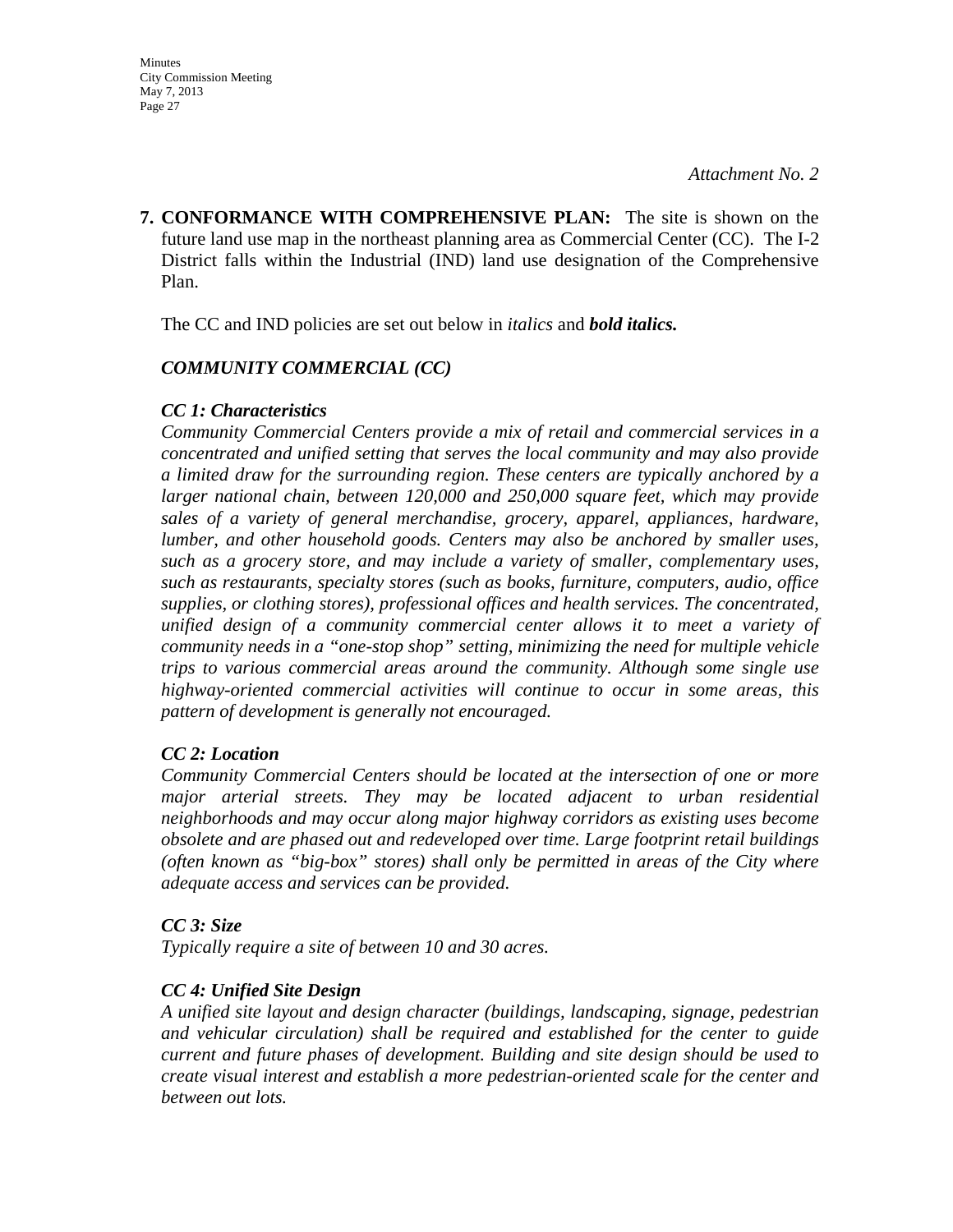**7. CONFORMANCE WITH COMPREHENSIVE PLAN:** The site is shown on the future land use map in the northeast planning area as Commercial Center (CC). The I-2 District falls within the Industrial (IND) land use designation of the Comprehensive Plan.

The CC and IND policies are set out below in *italics* and *bold italics.*

# *COMMUNITY COMMERCIAL (CC)*

# *CC 1: Characteristics*

*Community Commercial Centers provide a mix of retail and commercial services in a concentrated and unified setting that serves the local community and may also provide a limited draw for the surrounding region. These centers are typically anchored by a larger national chain, between 120,000 and 250,000 square feet, which may provide sales of a variety of general merchandise, grocery, apparel, appliances, hardware, lumber, and other household goods. Centers may also be anchored by smaller uses, such as a grocery store, and may include a variety of smaller, complementary uses, such as restaurants, specialty stores (such as books, furniture, computers, audio, office supplies, or clothing stores), professional offices and health services. The concentrated, unified design of a community commercial center allows it to meet a variety of community needs in a "one-stop shop" setting, minimizing the need for multiple vehicle trips to various commercial areas around the community. Although some single use highway-oriented commercial activities will continue to occur in some areas, this pattern of development is generally not encouraged.* 

# *CC 2: Location*

*Community Commercial Centers should be located at the intersection of one or more major arterial streets. They may be located adjacent to urban residential neighborhoods and may occur along major highway corridors as existing uses become obsolete and are phased out and redeveloped over time. Large footprint retail buildings (often known as "big-box" stores) shall only be permitted in areas of the City where adequate access and services can be provided.* 

# *CC 3: Size*

*Typically require a site of between 10 and 30 acres.* 

# *CC 4: Unified Site Design*

*A unified site layout and design character (buildings, landscaping, signage, pedestrian and vehicular circulation) shall be required and established for the center to guide current and future phases of development. Building and site design should be used to create visual interest and establish a more pedestrian-oriented scale for the center and between out lots.*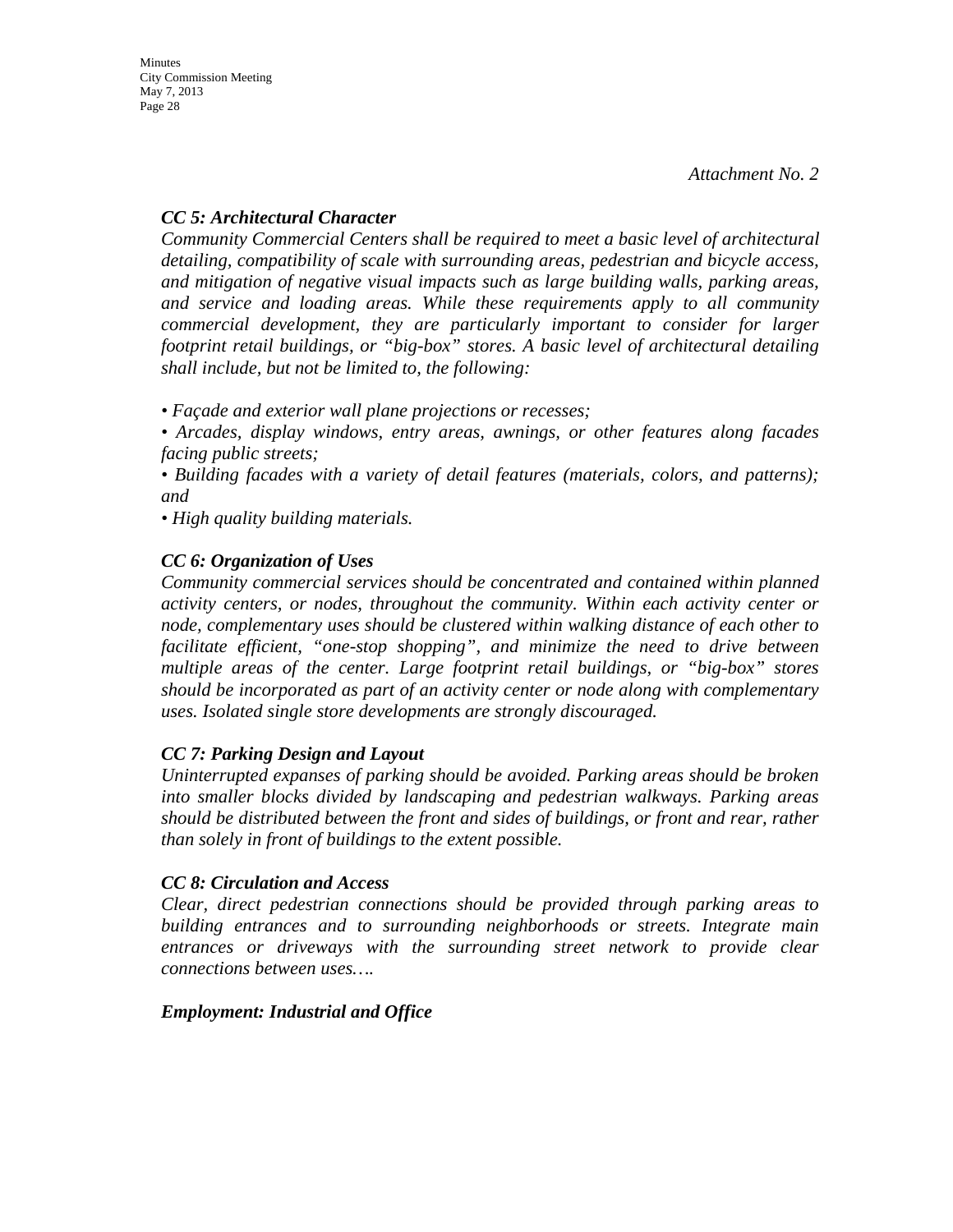# *CC 5: Architectural Character*

*Community Commercial Centers shall be required to meet a basic level of architectural detailing, compatibility of scale with surrounding areas, pedestrian and bicycle access, and mitigation of negative visual impacts such as large building walls, parking areas, and service and loading areas. While these requirements apply to all community commercial development, they are particularly important to consider for larger footprint retail buildings, or "big-box" stores. A basic level of architectural detailing shall include, but not be limited to, the following:* 

*• Façade and exterior wall plane projections or recesses;* 

*• Arcades, display windows, entry areas, awnings, or other features along facades facing public streets;* 

*• Building facades with a variety of detail features (materials, colors, and patterns); and* 

*• High quality building materials.* 

# *CC 6: Organization of Uses*

*Community commercial services should be concentrated and contained within planned activity centers, or nodes, throughout the community. Within each activity center or node, complementary uses should be clustered within walking distance of each other to facilitate efficient, "one-stop shopping", and minimize the need to drive between multiple areas of the center. Large footprint retail buildings, or "big-box" stores should be incorporated as part of an activity center or node along with complementary uses. Isolated single store developments are strongly discouraged.* 

# *CC 7: Parking Design and Layout*

*Uninterrupted expanses of parking should be avoided. Parking areas should be broken into smaller blocks divided by landscaping and pedestrian walkways. Parking areas should be distributed between the front and sides of buildings, or front and rear, rather than solely in front of buildings to the extent possible.* 

# *CC 8: Circulation and Access*

*Clear, direct pedestrian connections should be provided through parking areas to building entrances and to surrounding neighborhoods or streets. Integrate main entrances or driveways with the surrounding street network to provide clear connections between uses….* 

# *Employment: Industrial and Office*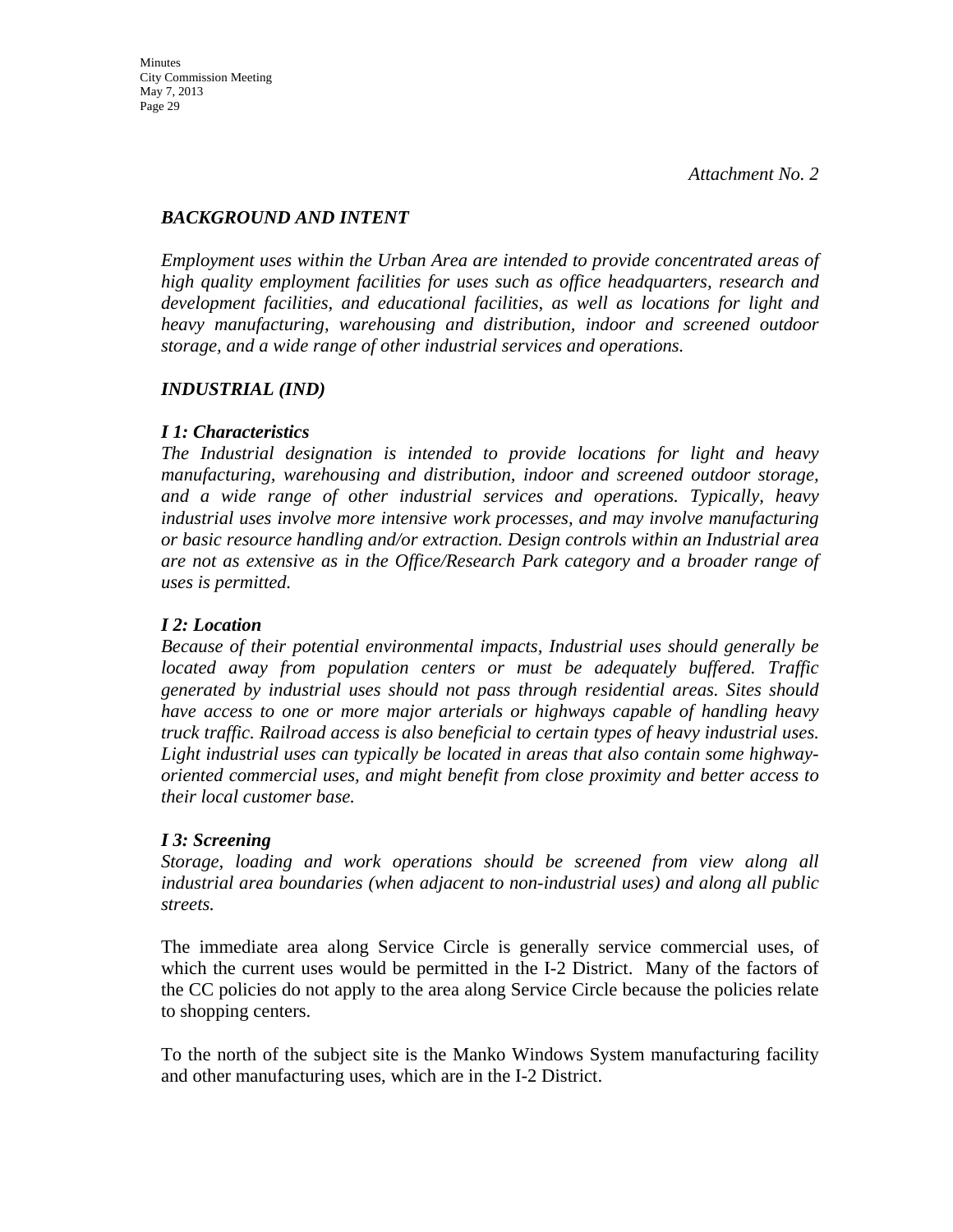# *BACKGROUND AND INTENT*

*Employment uses within the Urban Area are intended to provide concentrated areas of high quality employment facilities for uses such as office headquarters, research and development facilities, and educational facilities, as well as locations for light and heavy manufacturing, warehousing and distribution, indoor and screened outdoor storage, and a wide range of other industrial services and operations.* 

# *INDUSTRIAL (IND)*

# *I 1: Characteristics*

*The Industrial designation is intended to provide locations for light and heavy manufacturing, warehousing and distribution, indoor and screened outdoor storage, and a wide range of other industrial services and operations. Typically, heavy industrial uses involve more intensive work processes, and may involve manufacturing or basic resource handling and/or extraction. Design controls within an Industrial area are not as extensive as in the Office/Research Park category and a broader range of uses is permitted.* 

# *I 2: Location*

*Because of their potential environmental impacts, Industrial uses should generally be located away from population centers or must be adequately buffered. Traffic generated by industrial uses should not pass through residential areas. Sites should have access to one or more major arterials or highways capable of handling heavy truck traffic. Railroad access is also beneficial to certain types of heavy industrial uses. Light industrial uses can typically be located in areas that also contain some highwayoriented commercial uses, and might benefit from close proximity and better access to their local customer base.* 

#### *I 3: Screening*

*Storage, loading and work operations should be screened from view along all industrial area boundaries (when adjacent to non-industrial uses) and along all public streets.* 

The immediate area along Service Circle is generally service commercial uses, of which the current uses would be permitted in the I-2 District. Many of the factors of the CC policies do not apply to the area along Service Circle because the policies relate to shopping centers.

To the north of the subject site is the Manko Windows System manufacturing facility and other manufacturing uses, which are in the I-2 District.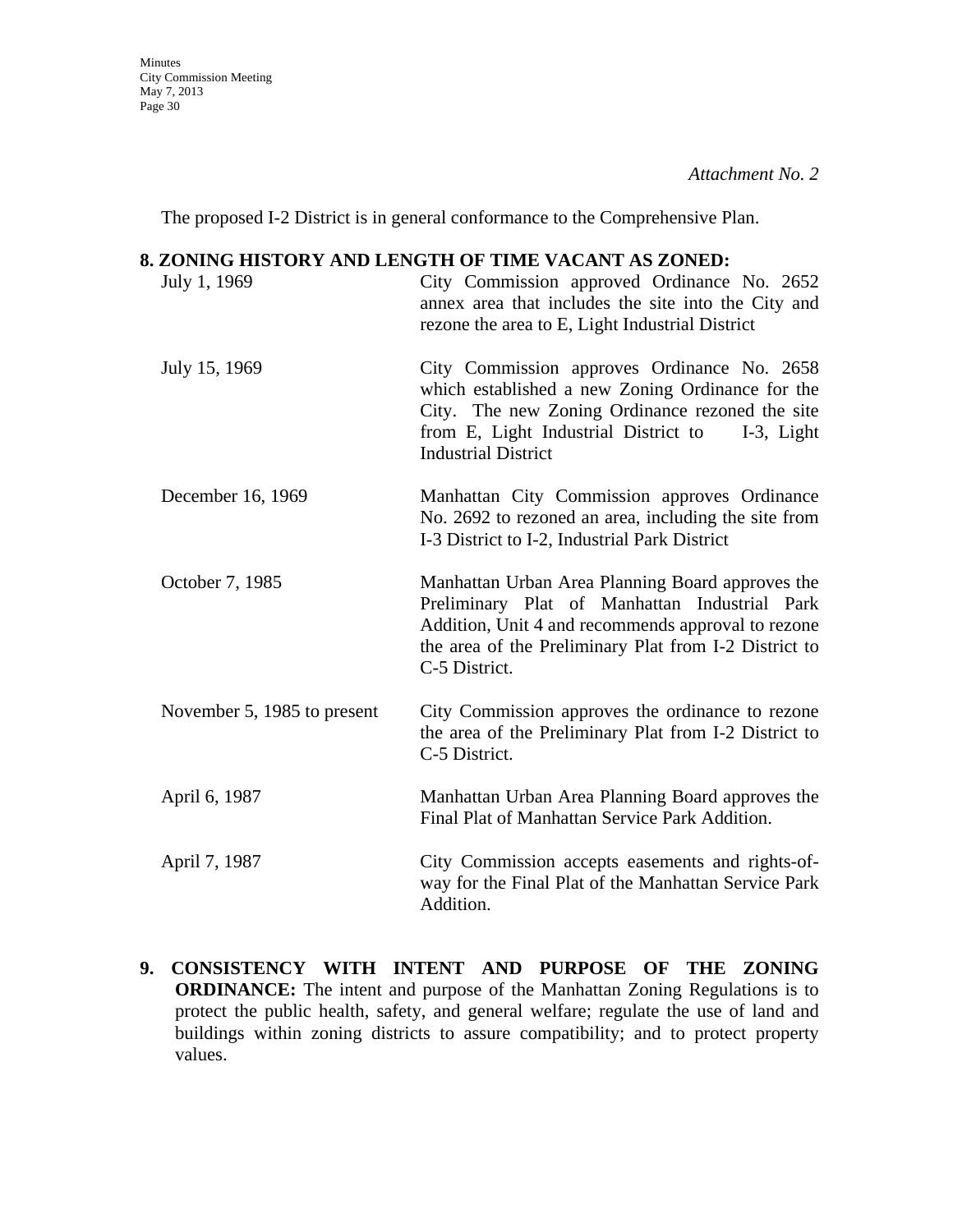The proposed I-2 District is in general conformance to the Comprehensive Plan.

### **8. ZONING HISTORY AND LENGTH OF TIME VACANT AS ZONED:**

| July 1, 1969                | City Commission approved Ordinance No. 2652<br>annex area that includes the site into the City and<br>rezone the area to E, Light Industrial District                                                                                     |
|-----------------------------|-------------------------------------------------------------------------------------------------------------------------------------------------------------------------------------------------------------------------------------------|
| July 15, 1969               | City Commission approves Ordinance No. 2658<br>which established a new Zoning Ordinance for the<br>City. The new Zoning Ordinance rezoned the site<br>from E, Light Industrial District to<br>$I-3$ , Light<br><b>Industrial District</b> |
| December 16, 1969           | Manhattan City Commission approves Ordinance<br>No. 2692 to rezoned an area, including the site from<br>I-3 District to I-2, Industrial Park District                                                                                     |
| October 7, 1985             | Manhattan Urban Area Planning Board approves the<br>Preliminary Plat of Manhattan Industrial Park<br>Addition, Unit 4 and recommends approval to rezone<br>the area of the Preliminary Plat from I-2 District to<br>C-5 District.         |
| November 5, 1985 to present | City Commission approves the ordinance to rezone<br>the area of the Preliminary Plat from I-2 District to<br>C-5 District.                                                                                                                |
| April 6, 1987               | Manhattan Urban Area Planning Board approves the<br>Final Plat of Manhattan Service Park Addition.                                                                                                                                        |
| April 7, 1987               | City Commission accepts easements and rights-of-<br>way for the Final Plat of the Manhattan Service Park<br>Addition.                                                                                                                     |

**9. CONSISTENCY WITH INTENT AND PURPOSE OF THE ZONING ORDINANCE:** The intent and purpose of the Manhattan Zoning Regulations is to protect the public health, safety, and general welfare; regulate the use of land and buildings within zoning districts to assure compatibility; and to protect property values.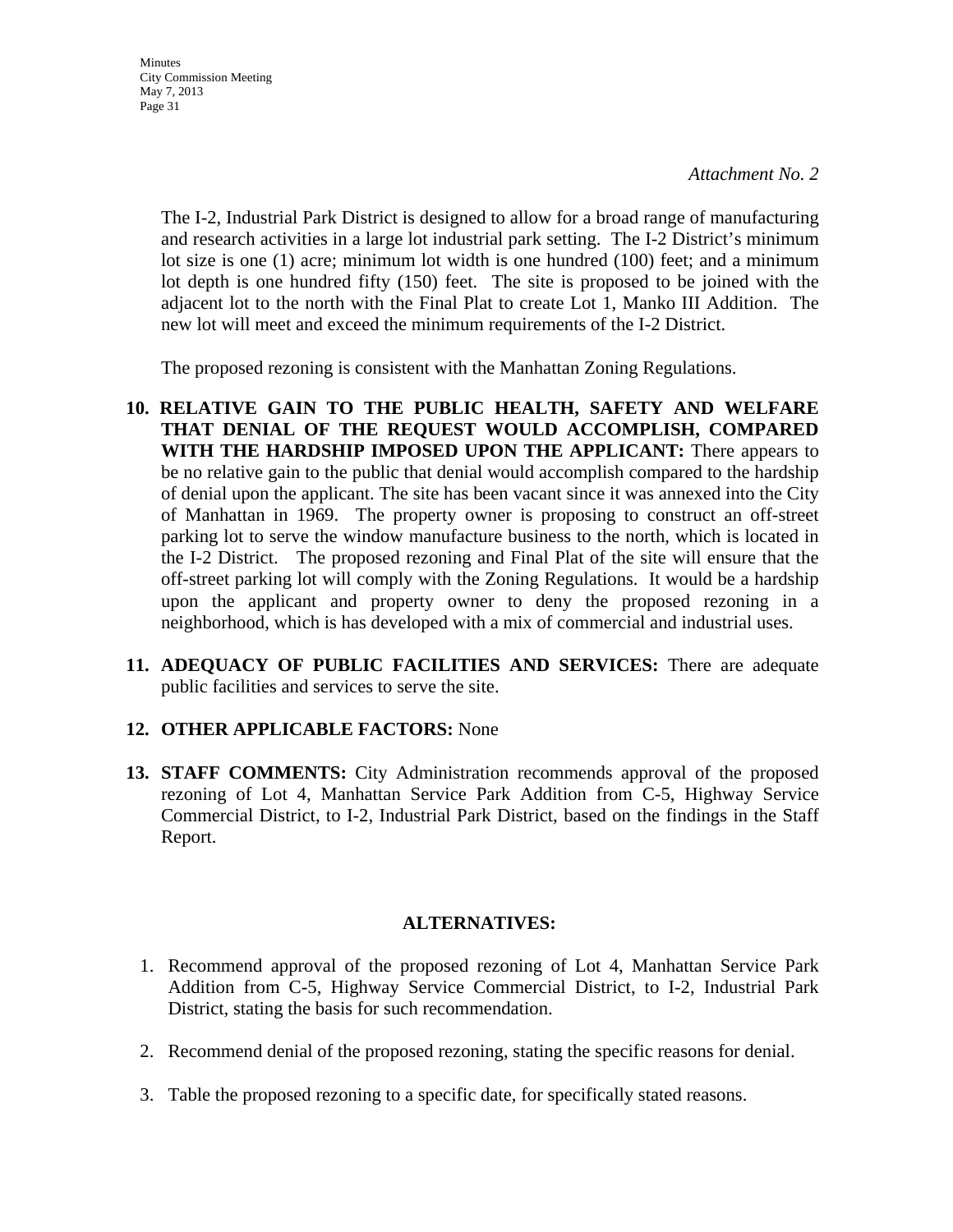**Minutes** City Commission Meeting May 7, 2013 Page 31

> The I-2, Industrial Park District is designed to allow for a broad range of manufacturing and research activities in a large lot industrial park setting. The I-2 District's minimum lot size is one (1) acre; minimum lot width is one hundred (100) feet; and a minimum lot depth is one hundred fifty (150) feet. The site is proposed to be joined with the adjacent lot to the north with the Final Plat to create Lot 1, Manko III Addition. The new lot will meet and exceed the minimum requirements of the I-2 District.

The proposed rezoning is consistent with the Manhattan Zoning Regulations.

- **10. RELATIVE GAIN TO THE PUBLIC HEALTH, SAFETY AND WELFARE THAT DENIAL OF THE REQUEST WOULD ACCOMPLISH, COMPARED WITH THE HARDSHIP IMPOSED UPON THE APPLICANT:** There appears to be no relative gain to the public that denial would accomplish compared to the hardship of denial upon the applicant. The site has been vacant since it was annexed into the City of Manhattan in 1969. The property owner is proposing to construct an off-street parking lot to serve the window manufacture business to the north, which is located in the I-2 District. The proposed rezoning and Final Plat of the site will ensure that the off-street parking lot will comply with the Zoning Regulations. It would be a hardship upon the applicant and property owner to deny the proposed rezoning in a neighborhood, which is has developed with a mix of commercial and industrial uses.
- **11. ADEQUACY OF PUBLIC FACILITIES AND SERVICES:** There are adequate public facilities and services to serve the site.

#### **12. OTHER APPLICABLE FACTORS:** None

**13. STAFF COMMENTS:** City Administration recommends approval of the proposed rezoning of Lot 4, Manhattan Service Park Addition from C-5, Highway Service Commercial District, to I-2, Industrial Park District, based on the findings in the Staff Report.

#### **ALTERNATIVES:**

- 1. Recommend approval of the proposed rezoning of Lot 4, Manhattan Service Park Addition from C-5, Highway Service Commercial District, to I-2, Industrial Park District, stating the basis for such recommendation.
- 2. Recommend denial of the proposed rezoning, stating the specific reasons for denial.
- 3. Table the proposed rezoning to a specific date, for specifically stated reasons.